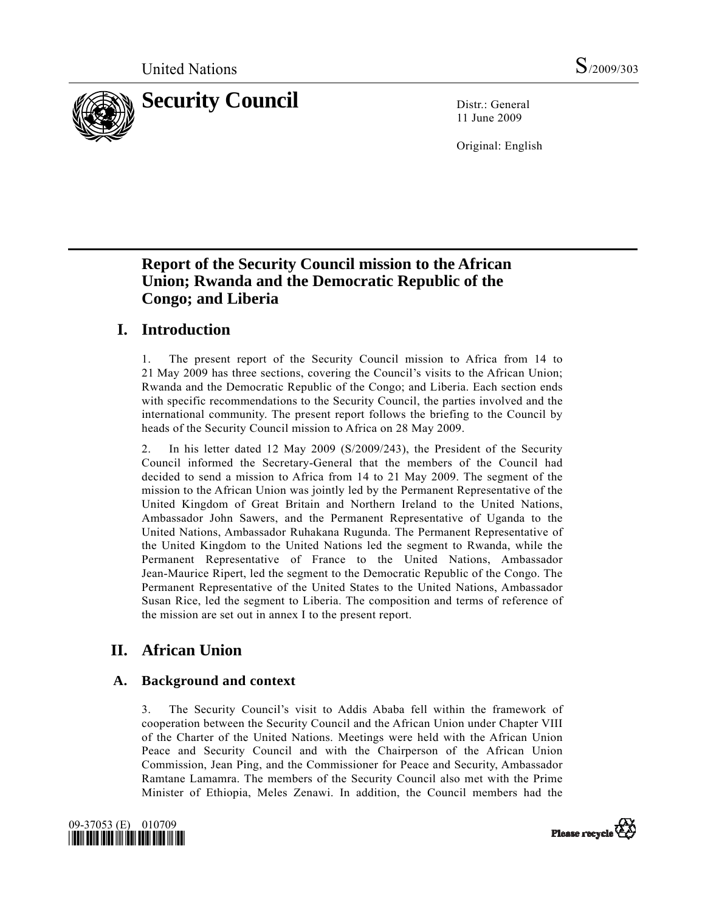

11 June 2009

Original: English

# **Report of the Security Council mission to the African Union; Rwanda and the Democratic Republic of the Congo; and Liberia**

# **I. Introduction**

1. The present report of the Security Council mission to Africa from 14 to 21 May 2009 has three sections, covering the Council's visits to the African Union; Rwanda and the Democratic Republic of the Congo; and Liberia. Each section ends with specific recommendations to the Security Council, the parties involved and the international community. The present report follows the briefing to the Council by heads of the Security Council mission to Africa on 28 May 2009.

2. In his letter dated 12 May 2009 (S/2009/243), the President of the Security Council informed the Secretary-General that the members of the Council had decided to send a mission to Africa from 14 to 21 May 2009. The segment of the mission to the African Union was jointly led by the Permanent Representative of the United Kingdom of Great Britain and Northern Ireland to the United Nations, Ambassador John Sawers, and the Permanent Representative of Uganda to the United Nations, Ambassador Ruhakana Rugunda. The Permanent Representative of the United Kingdom to the United Nations led the segment to Rwanda, while the Permanent Representative of France to the United Nations, Ambassador Jean-Maurice Ripert, led the segment to the Democratic Republic of the Congo. The Permanent Representative of the United States to the United Nations, Ambassador Susan Rice, led the segment to Liberia. The composition and terms of reference of the mission are set out in annex I to the present report.

# **II. African Union**

# **A. Background and context**

3. The Security Council's visit to Addis Ababa fell within the framework of cooperation between the Security Council and the African Union under Chapter VIII of the Charter of the United Nations. Meetings were held with the African Union Peace and Security Council and with the Chairperson of the African Union Commission, Jean Ping, and the Commissioner for Peace and Security, Ambassador Ramtane Lamamra. The members of the Security Council also met with the Prime Minister of Ethiopia, Meles Zenawi. In addition, the Council members had the



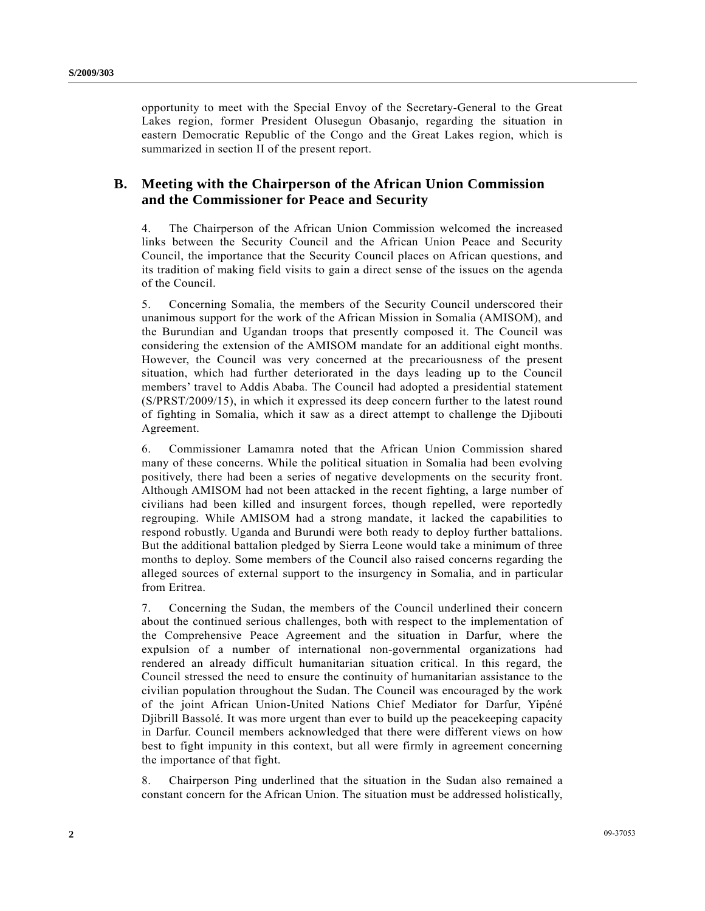opportunity to meet with the Special Envoy of the Secretary-General to the Great Lakes region, former President Olusegun Obasanjo, regarding the situation in eastern Democratic Republic of the Congo and the Great Lakes region, which is summarized in section II of the present report.

## **B. Meeting with the Chairperson of the African Union Commission and the Commissioner for Peace and Security**

4. The Chairperson of the African Union Commission welcomed the increased links between the Security Council and the African Union Peace and Security Council, the importance that the Security Council places on African questions, and its tradition of making field visits to gain a direct sense of the issues on the agenda of the Council.

5. Concerning Somalia, the members of the Security Council underscored their unanimous support for the work of the African Mission in Somalia (AMISOM), and the Burundian and Ugandan troops that presently composed it. The Council was considering the extension of the AMISOM mandate for an additional eight months. However, the Council was very concerned at the precariousness of the present situation, which had further deteriorated in the days leading up to the Council members' travel to Addis Ababa. The Council had adopted a presidential statement (S/PRST/2009/15), in which it expressed its deep concern further to the latest round of fighting in Somalia, which it saw as a direct attempt to challenge the Djibouti Agreement.

6. Commissioner Lamamra noted that the African Union Commission shared many of these concerns. While the political situation in Somalia had been evolving positively, there had been a series of negative developments on the security front. Although AMISOM had not been attacked in the recent fighting, a large number of civilians had been killed and insurgent forces, though repelled, were reportedly regrouping. While AMISOM had a strong mandate, it lacked the capabilities to respond robustly. Uganda and Burundi were both ready to deploy further battalions. But the additional battalion pledged by Sierra Leone would take a minimum of three months to deploy. Some members of the Council also raised concerns regarding the alleged sources of external support to the insurgency in Somalia, and in particular from Eritrea.

7. Concerning the Sudan, the members of the Council underlined their concern about the continued serious challenges, both with respect to the implementation of the Comprehensive Peace Agreement and the situation in Darfur, where the expulsion of a number of international non-governmental organizations had rendered an already difficult humanitarian situation critical. In this regard, the Council stressed the need to ensure the continuity of humanitarian assistance to the civilian population throughout the Sudan. The Council was encouraged by the work of the joint African Union-United Nations Chief Mediator for Darfur, Yipéné Djibrill Bassolé. It was more urgent than ever to build up the peacekeeping capacity in Darfur. Council members acknowledged that there were different views on how best to fight impunity in this context, but all were firmly in agreement concerning the importance of that fight.

8. Chairperson Ping underlined that the situation in the Sudan also remained a constant concern for the African Union. The situation must be addressed holistically,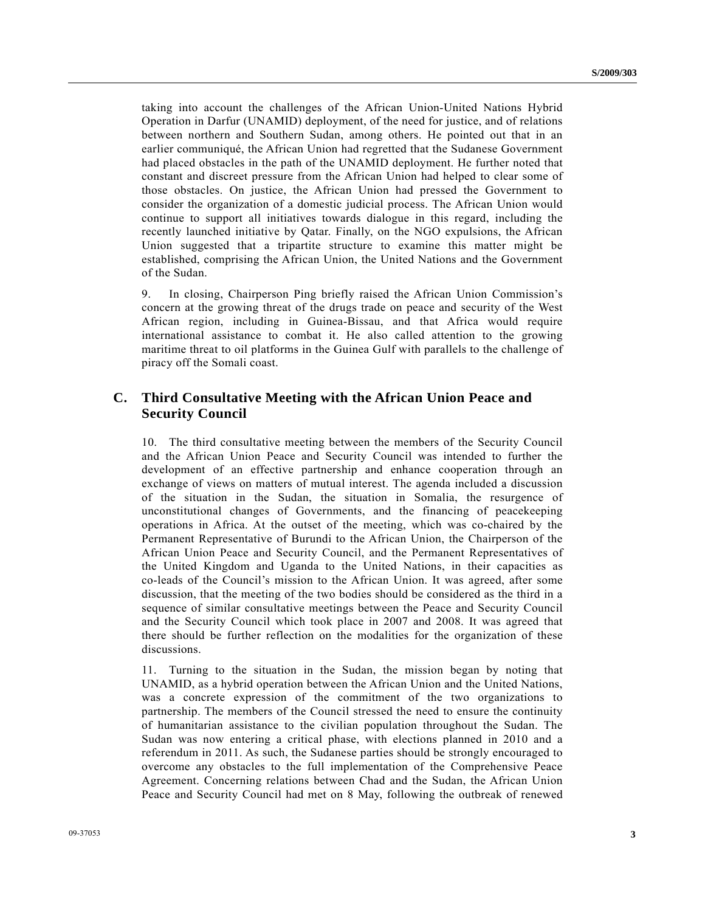taking into account the challenges of the African Union-United Nations Hybrid Operation in Darfur (UNAMID) deployment, of the need for justice, and of relations between northern and Southern Sudan, among others. He pointed out that in an earlier communiqué, the African Union had regretted that the Sudanese Government had placed obstacles in the path of the UNAMID deployment. He further noted that constant and discreet pressure from the African Union had helped to clear some of those obstacles. On justice, the African Union had pressed the Government to consider the organization of a domestic judicial process. The African Union would continue to support all initiatives towards dialogue in this regard, including the recently launched initiative by Qatar. Finally, on the NGO expulsions, the African Union suggested that a tripartite structure to examine this matter might be established, comprising the African Union, the United Nations and the Government of the Sudan.

9. In closing, Chairperson Ping briefly raised the African Union Commission's concern at the growing threat of the drugs trade on peace and security of the West African region, including in Guinea-Bissau, and that Africa would require international assistance to combat it. He also called attention to the growing maritime threat to oil platforms in the Guinea Gulf with parallels to the challenge of piracy off the Somali coast.

## **C. Third Consultative Meeting with the African Union Peace and Security Council**

10. The third consultative meeting between the members of the Security Council and the African Union Peace and Security Council was intended to further the development of an effective partnership and enhance cooperation through an exchange of views on matters of mutual interest. The agenda included a discussion of the situation in the Sudan, the situation in Somalia, the resurgence of unconstitutional changes of Governments, and the financing of peacekeeping operations in Africa. At the outset of the meeting, which was co-chaired by the Permanent Representative of Burundi to the African Union, the Chairperson of the African Union Peace and Security Council, and the Permanent Representatives of the United Kingdom and Uganda to the United Nations, in their capacities as co-leads of the Council's mission to the African Union. It was agreed, after some discussion, that the meeting of the two bodies should be considered as the third in a sequence of similar consultative meetings between the Peace and Security Council and the Security Council which took place in 2007 and 2008. It was agreed that there should be further reflection on the modalities for the organization of these discussions.

11. Turning to the situation in the Sudan, the mission began by noting that UNAMID, as a hybrid operation between the African Union and the United Nations, was a concrete expression of the commitment of the two organizations to partnership. The members of the Council stressed the need to ensure the continuity of humanitarian assistance to the civilian population throughout the Sudan. The Sudan was now entering a critical phase, with elections planned in 2010 and a referendum in 2011. As such, the Sudanese parties should be strongly encouraged to overcome any obstacles to the full implementation of the Comprehensive Peace Agreement. Concerning relations between Chad and the Sudan, the African Union Peace and Security Council had met on 8 May, following the outbreak of renewed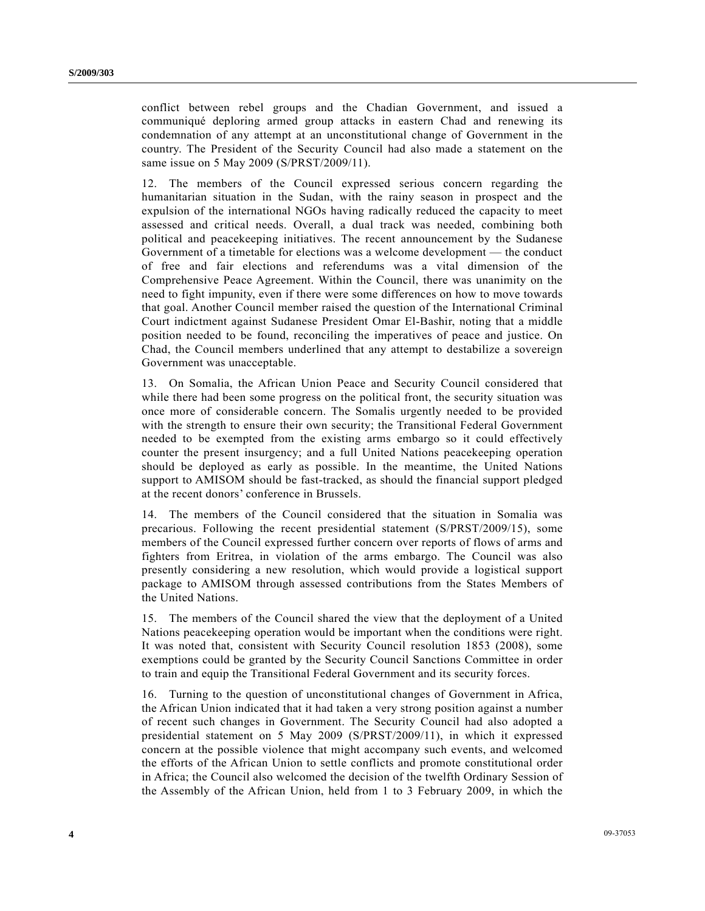conflict between rebel groups and the Chadian Government, and issued a communiqué deploring armed group attacks in eastern Chad and renewing its condemnation of any attempt at an unconstitutional change of Government in the country. The President of the Security Council had also made a statement on the same issue on 5 May 2009 (S/PRST/2009/11).

12. The members of the Council expressed serious concern regarding the humanitarian situation in the Sudan, with the rainy season in prospect and the expulsion of the international NGOs having radically reduced the capacity to meet assessed and critical needs. Overall, a dual track was needed, combining both political and peacekeeping initiatives. The recent announcement by the Sudanese Government of a timetable for elections was a welcome development — the conduct of free and fair elections and referendums was a vital dimension of the Comprehensive Peace Agreement. Within the Council, there was unanimity on the need to fight impunity, even if there were some differences on how to move towards that goal. Another Council member raised the question of the International Criminal Court indictment against Sudanese President Omar El-Bashir, noting that a middle position needed to be found, reconciling the imperatives of peace and justice. On Chad, the Council members underlined that any attempt to destabilize a sovereign Government was unacceptable.

13. On Somalia, the African Union Peace and Security Council considered that while there had been some progress on the political front, the security situation was once more of considerable concern. The Somalis urgently needed to be provided with the strength to ensure their own security; the Transitional Federal Government needed to be exempted from the existing arms embargo so it could effectively counter the present insurgency; and a full United Nations peacekeeping operation should be deployed as early as possible. In the meantime, the United Nations support to AMISOM should be fast-tracked, as should the financial support pledged at the recent donors' conference in Brussels.

14. The members of the Council considered that the situation in Somalia was precarious. Following the recent presidential statement (S/PRST/2009/15), some members of the Council expressed further concern over reports of flows of arms and fighters from Eritrea, in violation of the arms embargo. The Council was also presently considering a new resolution, which would provide a logistical support package to AMISOM through assessed contributions from the States Members of the United Nations.

15. The members of the Council shared the view that the deployment of a United Nations peacekeeping operation would be important when the conditions were right. It was noted that, consistent with Security Council resolution 1853 (2008), some exemptions could be granted by the Security Council Sanctions Committee in order to train and equip the Transitional Federal Government and its security forces.

16. Turning to the question of unconstitutional changes of Government in Africa, the African Union indicated that it had taken a very strong position against a number of recent such changes in Government. The Security Council had also adopted a presidential statement on 5 May 2009 (S/PRST/2009/11), in which it expressed concern at the possible violence that might accompany such events, and welcomed the efforts of the African Union to settle conflicts and promote constitutional order in Africa; the Council also welcomed the decision of the twelfth Ordinary Session of the Assembly of the African Union, held from 1 to 3 February 2009, in which the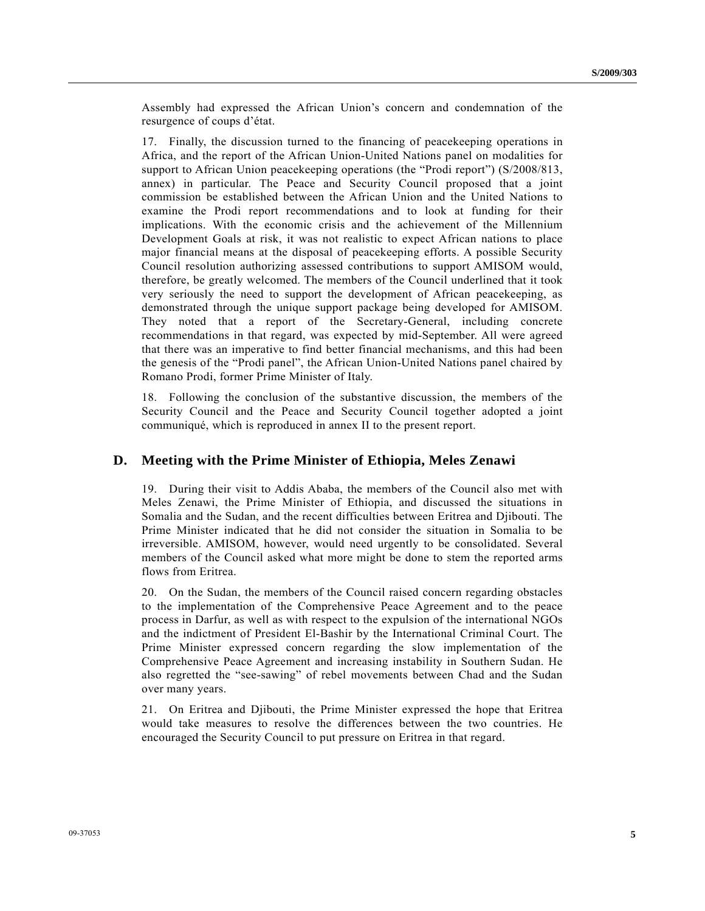Assembly had expressed the African Union's concern and condemnation of the resurgence of coups d'état.

17. Finally, the discussion turned to the financing of peacekeeping operations in Africa, and the report of the African Union-United Nations panel on modalities for support to African Union peacekeeping operations (the "Prodi report") (S/2008/813, annex) in particular. The Peace and Security Council proposed that a joint commission be established between the African Union and the United Nations to examine the Prodi report recommendations and to look at funding for their implications. With the economic crisis and the achievement of the Millennium Development Goals at risk, it was not realistic to expect African nations to place major financial means at the disposal of peacekeeping efforts. A possible Security Council resolution authorizing assessed contributions to support AMISOM would, therefore, be greatly welcomed. The members of the Council underlined that it took very seriously the need to support the development of African peacekeeping, as demonstrated through the unique support package being developed for AMISOM. They noted that a report of the Secretary-General, including concrete recommendations in that regard, was expected by mid-September. All were agreed that there was an imperative to find better financial mechanisms, and this had been the genesis of the "Prodi panel", the African Union-United Nations panel chaired by Romano Prodi, former Prime Minister of Italy.

18. Following the conclusion of the substantive discussion, the members of the Security Council and the Peace and Security Council together adopted a joint communiqué, which is reproduced in annex II to the present report.

## **D. Meeting with the Prime Minister of Ethiopia, Meles Zenawi**

19. During their visit to Addis Ababa, the members of the Council also met with Meles Zenawi, the Prime Minister of Ethiopia, and discussed the situations in Somalia and the Sudan, and the recent difficulties between Eritrea and Djibouti. The Prime Minister indicated that he did not consider the situation in Somalia to be irreversible. AMISOM, however, would need urgently to be consolidated. Several members of the Council asked what more might be done to stem the reported arms flows from Eritrea.

20. On the Sudan, the members of the Council raised concern regarding obstacles to the implementation of the Comprehensive Peace Agreement and to the peace process in Darfur, as well as with respect to the expulsion of the international NGOs and the indictment of President El-Bashir by the International Criminal Court. The Prime Minister expressed concern regarding the slow implementation of the Comprehensive Peace Agreement and increasing instability in Southern Sudan. He also regretted the "see-sawing" of rebel movements between Chad and the Sudan over many years.

21. On Eritrea and Djibouti, the Prime Minister expressed the hope that Eritrea would take measures to resolve the differences between the two countries. He encouraged the Security Council to put pressure on Eritrea in that regard.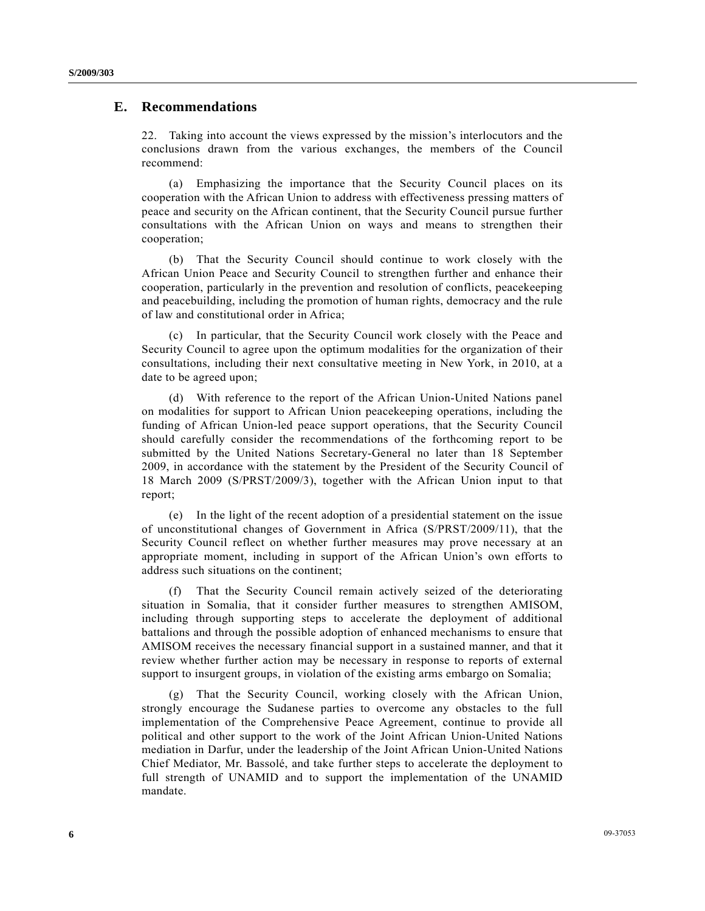### **E. Recommendations**

22. Taking into account the views expressed by the mission's interlocutors and the conclusions drawn from the various exchanges, the members of the Council recommend:

 (a) Emphasizing the importance that the Security Council places on its cooperation with the African Union to address with effectiveness pressing matters of peace and security on the African continent, that the Security Council pursue further consultations with the African Union on ways and means to strengthen their cooperation;

 (b) That the Security Council should continue to work closely with the African Union Peace and Security Council to strengthen further and enhance their cooperation, particularly in the prevention and resolution of conflicts, peacekeeping and peacebuilding, including the promotion of human rights, democracy and the rule of law and constitutional order in Africa;

 (c) In particular, that the Security Council work closely with the Peace and Security Council to agree upon the optimum modalities for the organization of their consultations, including their next consultative meeting in New York, in 2010, at a date to be agreed upon;

 (d) With reference to the report of the African Union-United Nations panel on modalities for support to African Union peacekeeping operations, including the funding of African Union-led peace support operations, that the Security Council should carefully consider the recommendations of the forthcoming report to be submitted by the United Nations Secretary-General no later than 18 September 2009, in accordance with the statement by the President of the Security Council of 18 March 2009 (S/PRST/2009/3), together with the African Union input to that report;

 (e) In the light of the recent adoption of a presidential statement on the issue of unconstitutional changes of Government in Africa (S/PRST/2009/11), that the Security Council reflect on whether further measures may prove necessary at an appropriate moment, including in support of the African Union's own efforts to address such situations on the continent;

 (f) That the Security Council remain actively seized of the deteriorating situation in Somalia, that it consider further measures to strengthen AMISOM, including through supporting steps to accelerate the deployment of additional battalions and through the possible adoption of enhanced mechanisms to ensure that AMISOM receives the necessary financial support in a sustained manner, and that it review whether further action may be necessary in response to reports of external support to insurgent groups, in violation of the existing arms embargo on Somalia;

 (g) That the Security Council, working closely with the African Union, strongly encourage the Sudanese parties to overcome any obstacles to the full implementation of the Comprehensive Peace Agreement, continue to provide all political and other support to the work of the Joint African Union-United Nations mediation in Darfur, under the leadership of the Joint African Union-United Nations Chief Mediator, Mr. Bassolé, and take further steps to accelerate the deployment to full strength of UNAMID and to support the implementation of the UNAMID mandate.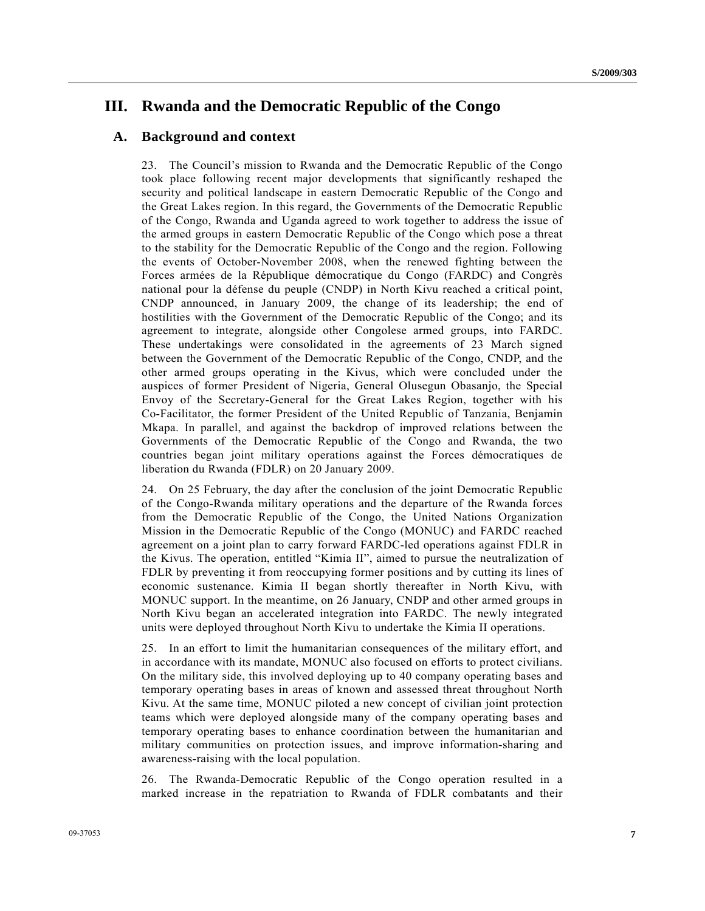# **III. Rwanda and the Democratic Republic of the Congo**

## **A. Background and context**

23. The Council's mission to Rwanda and the Democratic Republic of the Congo took place following recent major developments that significantly reshaped the security and political landscape in eastern Democratic Republic of the Congo and the Great Lakes region. In this regard, the Governments of the Democratic Republic of the Congo, Rwanda and Uganda agreed to work together to address the issue of the armed groups in eastern Democratic Republic of the Congo which pose a threat to the stability for the Democratic Republic of the Congo and the region. Following the events of October-November 2008, when the renewed fighting between the Forces armées de la République démocratique du Congo (FARDC) and Congrès national pour la défense du peuple (CNDP) in North Kivu reached a critical point, CNDP announced, in January 2009, the change of its leadership; the end of hostilities with the Government of the Democratic Republic of the Congo; and its agreement to integrate, alongside other Congolese armed groups, into FARDC. These undertakings were consolidated in the agreements of 23 March signed between the Government of the Democratic Republic of the Congo, CNDP, and the other armed groups operating in the Kivus, which were concluded under the auspices of former President of Nigeria, General Olusegun Obasanjo, the Special Envoy of the Secretary-General for the Great Lakes Region, together with his Co-Facilitator, the former President of the United Republic of Tanzania, Benjamin Mkapa. In parallel, and against the backdrop of improved relations between the Governments of the Democratic Republic of the Congo and Rwanda, the two countries began joint military operations against the Forces démocratiques de liberation du Rwanda (FDLR) on 20 January 2009.

24. On 25 February, the day after the conclusion of the joint Democratic Republic of the Congo-Rwanda military operations and the departure of the Rwanda forces from the Democratic Republic of the Congo, the United Nations Organization Mission in the Democratic Republic of the Congo (MONUC) and FARDC reached agreement on a joint plan to carry forward FARDC-led operations against FDLR in the Kivus. The operation, entitled "Kimia II", aimed to pursue the neutralization of FDLR by preventing it from reoccupying former positions and by cutting its lines of economic sustenance. Kimia II began shortly thereafter in North Kivu, with MONUC support. In the meantime, on 26 January, CNDP and other armed groups in North Kivu began an accelerated integration into FARDC. The newly integrated units were deployed throughout North Kivu to undertake the Kimia II operations.

25. In an effort to limit the humanitarian consequences of the military effort, and in accordance with its mandate, MONUC also focused on efforts to protect civilians. On the military side, this involved deploying up to 40 company operating bases and temporary operating bases in areas of known and assessed threat throughout North Kivu. At the same time, MONUC piloted a new concept of civilian joint protection teams which were deployed alongside many of the company operating bases and temporary operating bases to enhance coordination between the humanitarian and military communities on protection issues, and improve information-sharing and awareness-raising with the local population.

26. The Rwanda-Democratic Republic of the Congo operation resulted in a marked increase in the repatriation to Rwanda of FDLR combatants and their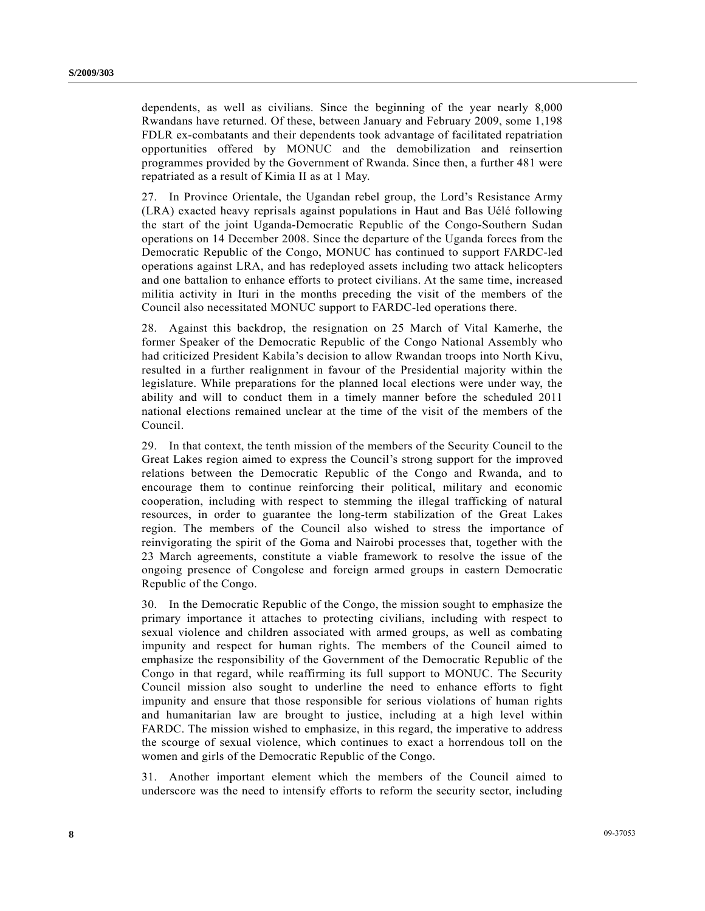dependents, as well as civilians. Since the beginning of the year nearly 8,000 Rwandans have returned. Of these, between January and February 2009, some 1,198 FDLR ex-combatants and their dependents took advantage of facilitated repatriation opportunities offered by MONUC and the demobilization and reinsertion programmes provided by the Government of Rwanda. Since then, a further 481 were repatriated as a result of Kimia II as at 1 May.

27. In Province Orientale, the Ugandan rebel group, the Lord's Resistance Army (LRA) exacted heavy reprisals against populations in Haut and Bas Uélé following the start of the joint Uganda-Democratic Republic of the Congo-Southern Sudan operations on 14 December 2008. Since the departure of the Uganda forces from the Democratic Republic of the Congo, MONUC has continued to support FARDC-led operations against LRA, and has redeployed assets including two attack helicopters and one battalion to enhance efforts to protect civilians. At the same time, increased militia activity in Ituri in the months preceding the visit of the members of the Council also necessitated MONUC support to FARDC-led operations there.

28. Against this backdrop, the resignation on 25 March of Vital Kamerhe, the former Speaker of the Democratic Republic of the Congo National Assembly who had criticized President Kabila's decision to allow Rwandan troops into North Kivu, resulted in a further realignment in favour of the Presidential majority within the legislature. While preparations for the planned local elections were under way, the ability and will to conduct them in a timely manner before the scheduled 2011 national elections remained unclear at the time of the visit of the members of the Council.

29. In that context, the tenth mission of the members of the Security Council to the Great Lakes region aimed to express the Council's strong support for the improved relations between the Democratic Republic of the Congo and Rwanda, and to encourage them to continue reinforcing their political, military and economic cooperation, including with respect to stemming the illegal trafficking of natural resources, in order to guarantee the long-term stabilization of the Great Lakes region. The members of the Council also wished to stress the importance of reinvigorating the spirit of the Goma and Nairobi processes that, together with the 23 March agreements, constitute a viable framework to resolve the issue of the ongoing presence of Congolese and foreign armed groups in eastern Democratic Republic of the Congo.

30. In the Democratic Republic of the Congo, the mission sought to emphasize the primary importance it attaches to protecting civilians, including with respect to sexual violence and children associated with armed groups, as well as combating impunity and respect for human rights. The members of the Council aimed to emphasize the responsibility of the Government of the Democratic Republic of the Congo in that regard, while reaffirming its full support to MONUC. The Security Council mission also sought to underline the need to enhance efforts to fight impunity and ensure that those responsible for serious violations of human rights and humanitarian law are brought to justice, including at a high level within FARDC. The mission wished to emphasize, in this regard, the imperative to address the scourge of sexual violence, which continues to exact a horrendous toll on the women and girls of the Democratic Republic of the Congo.

31. Another important element which the members of the Council aimed to underscore was the need to intensify efforts to reform the security sector, including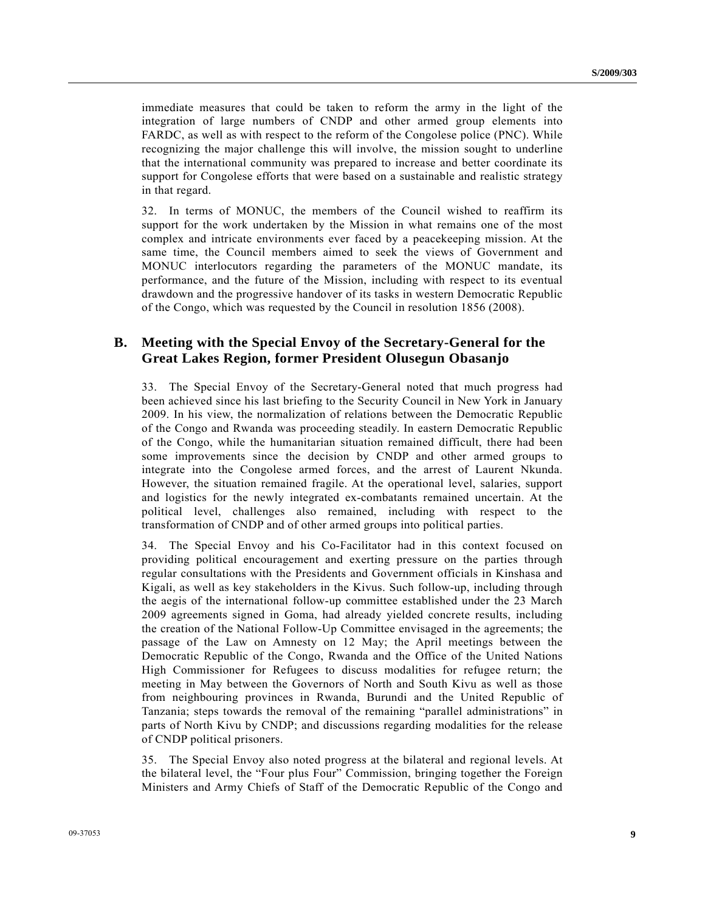immediate measures that could be taken to reform the army in the light of the integration of large numbers of CNDP and other armed group elements into FARDC, as well as with respect to the reform of the Congolese police (PNC). While recognizing the major challenge this will involve, the mission sought to underline that the international community was prepared to increase and better coordinate its support for Congolese efforts that were based on a sustainable and realistic strategy in that regard.

32. In terms of MONUC, the members of the Council wished to reaffirm its support for the work undertaken by the Mission in what remains one of the most complex and intricate environments ever faced by a peacekeeping mission. At the same time, the Council members aimed to seek the views of Government and MONUC interlocutors regarding the parameters of the MONUC mandate, its performance, and the future of the Mission, including with respect to its eventual drawdown and the progressive handover of its tasks in western Democratic Republic of the Congo, which was requested by the Council in resolution 1856 (2008).

## **B. Meeting with the Special Envoy of the Secretary-General for the Great Lakes Region, former President Olusegun Obasanjo**

33. The Special Envoy of the Secretary-General noted that much progress had been achieved since his last briefing to the Security Council in New York in January 2009. In his view, the normalization of relations between the Democratic Republic of the Congo and Rwanda was proceeding steadily. In eastern Democratic Republic of the Congo, while the humanitarian situation remained difficult, there had been some improvements since the decision by CNDP and other armed groups to integrate into the Congolese armed forces, and the arrest of Laurent Nkunda. However, the situation remained fragile. At the operational level, salaries, support and logistics for the newly integrated ex-combatants remained uncertain. At the political level, challenges also remained, including with respect to the transformation of CNDP and of other armed groups into political parties.

34. The Special Envoy and his Co-Facilitator had in this context focused on providing political encouragement and exerting pressure on the parties through regular consultations with the Presidents and Government officials in Kinshasa and Kigali, as well as key stakeholders in the Kivus. Such follow-up, including through the aegis of the international follow-up committee established under the 23 March 2009 agreements signed in Goma, had already yielded concrete results, including the creation of the National Follow-Up Committee envisaged in the agreements; the passage of the Law on Amnesty on 12 May; the April meetings between the Democratic Republic of the Congo, Rwanda and the Office of the United Nations High Commissioner for Refugees to discuss modalities for refugee return; the meeting in May between the Governors of North and South Kivu as well as those from neighbouring provinces in Rwanda, Burundi and the United Republic of Tanzania; steps towards the removal of the remaining "parallel administrations" in parts of North Kivu by CNDP; and discussions regarding modalities for the release of CNDP political prisoners.

35. The Special Envoy also noted progress at the bilateral and regional levels. At the bilateral level, the "Four plus Four" Commission, bringing together the Foreign Ministers and Army Chiefs of Staff of the Democratic Republic of the Congo and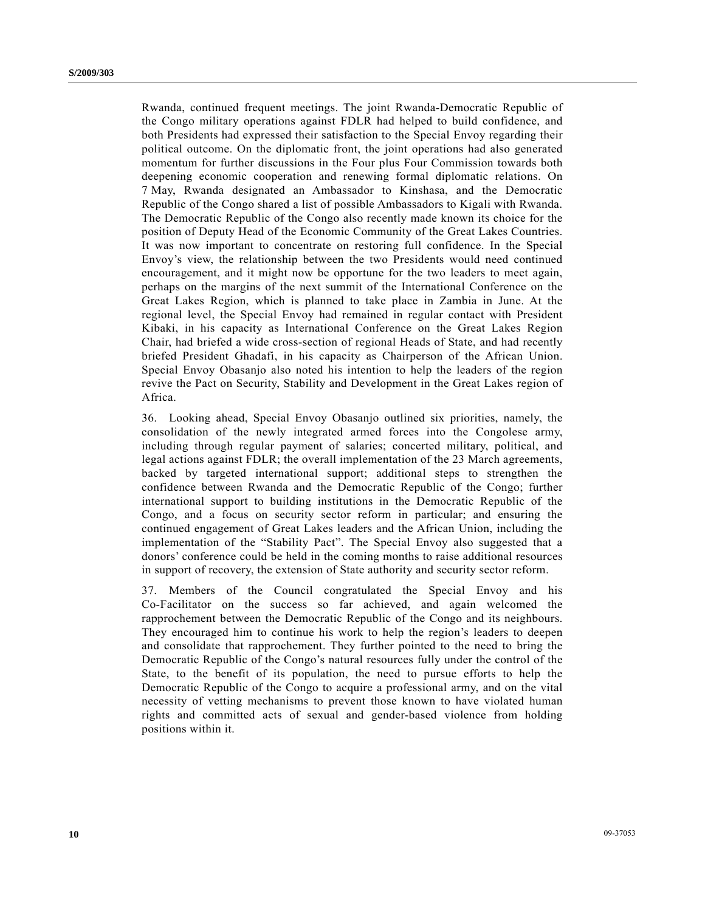Rwanda, continued frequent meetings. The joint Rwanda-Democratic Republic of the Congo military operations against FDLR had helped to build confidence, and both Presidents had expressed their satisfaction to the Special Envoy regarding their political outcome. On the diplomatic front, the joint operations had also generated momentum for further discussions in the Four plus Four Commission towards both deepening economic cooperation and renewing formal diplomatic relations. On 7 May, Rwanda designated an Ambassador to Kinshasa, and the Democratic Republic of the Congo shared a list of possible Ambassadors to Kigali with Rwanda. The Democratic Republic of the Congo also recently made known its choice for the position of Deputy Head of the Economic Community of the Great Lakes Countries. It was now important to concentrate on restoring full confidence. In the Special Envoy's view, the relationship between the two Presidents would need continued encouragement, and it might now be opportune for the two leaders to meet again, perhaps on the margins of the next summit of the International Conference on the Great Lakes Region, which is planned to take place in Zambia in June. At the regional level, the Special Envoy had remained in regular contact with President Kibaki, in his capacity as International Conference on the Great Lakes Region Chair, had briefed a wide cross-section of regional Heads of State, and had recently briefed President Ghadafi, in his capacity as Chairperson of the African Union. Special Envoy Obasanjo also noted his intention to help the leaders of the region revive the Pact on Security, Stability and Development in the Great Lakes region of Africa.

36. Looking ahead, Special Envoy Obasanjo outlined six priorities, namely, the consolidation of the newly integrated armed forces into the Congolese army, including through regular payment of salaries; concerted military, political, and legal actions against FDLR; the overall implementation of the 23 March agreements, backed by targeted international support; additional steps to strengthen the confidence between Rwanda and the Democratic Republic of the Congo; further international support to building institutions in the Democratic Republic of the Congo, and a focus on security sector reform in particular; and ensuring the continued engagement of Great Lakes leaders and the African Union, including the implementation of the "Stability Pact". The Special Envoy also suggested that a donors' conference could be held in the coming months to raise additional resources in support of recovery, the extension of State authority and security sector reform.

37. Members of the Council congratulated the Special Envoy and his Co-Facilitator on the success so far achieved, and again welcomed the rapprochement between the Democratic Republic of the Congo and its neighbours. They encouraged him to continue his work to help the region's leaders to deepen and consolidate that rapprochement. They further pointed to the need to bring the Democratic Republic of the Congo's natural resources fully under the control of the State, to the benefit of its population, the need to pursue efforts to help the Democratic Republic of the Congo to acquire a professional army, and on the vital necessity of vetting mechanisms to prevent those known to have violated human rights and committed acts of sexual and gender-based violence from holding positions within it.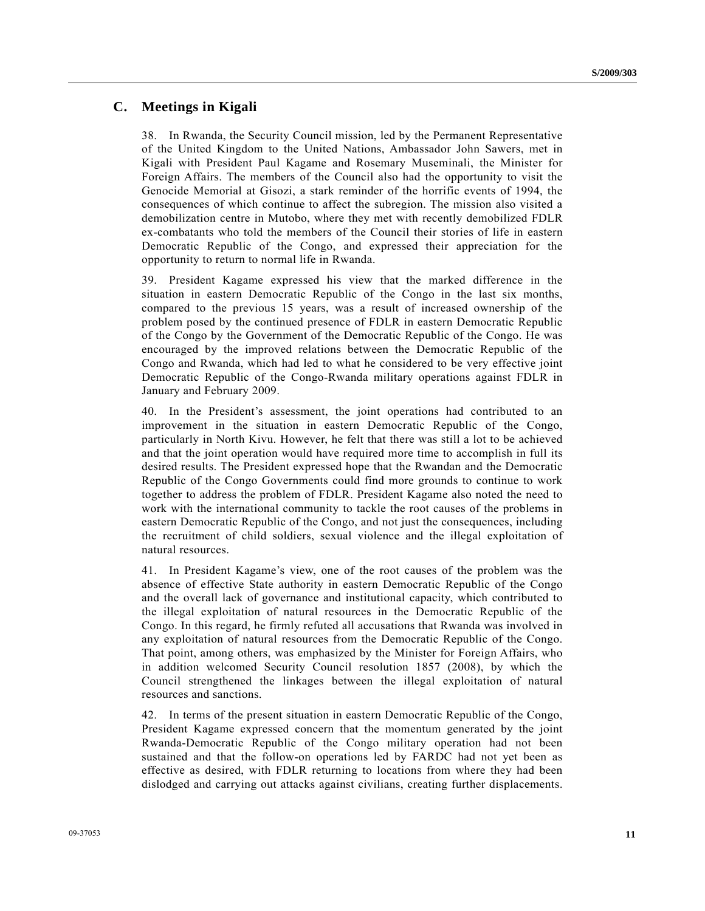## **C. Meetings in Kigali**

38. In Rwanda, the Security Council mission, led by the Permanent Representative of the United Kingdom to the United Nations, Ambassador John Sawers, met in Kigali with President Paul Kagame and Rosemary Museminali, the Minister for Foreign Affairs. The members of the Council also had the opportunity to visit the Genocide Memorial at Gisozi, a stark reminder of the horrific events of 1994, the consequences of which continue to affect the subregion. The mission also visited a demobilization centre in Mutobo, where they met with recently demobilized FDLR ex-combatants who told the members of the Council their stories of life in eastern Democratic Republic of the Congo, and expressed their appreciation for the opportunity to return to normal life in Rwanda.

39. President Kagame expressed his view that the marked difference in the situation in eastern Democratic Republic of the Congo in the last six months, compared to the previous 15 years, was a result of increased ownership of the problem posed by the continued presence of FDLR in eastern Democratic Republic of the Congo by the Government of the Democratic Republic of the Congo. He was encouraged by the improved relations between the Democratic Republic of the Congo and Rwanda, which had led to what he considered to be very effective joint Democratic Republic of the Congo-Rwanda military operations against FDLR in January and February 2009.

40. In the President's assessment, the joint operations had contributed to an improvement in the situation in eastern Democratic Republic of the Congo, particularly in North Kivu. However, he felt that there was still a lot to be achieved and that the joint operation would have required more time to accomplish in full its desired results. The President expressed hope that the Rwandan and the Democratic Republic of the Congo Governments could find more grounds to continue to work together to address the problem of FDLR. President Kagame also noted the need to work with the international community to tackle the root causes of the problems in eastern Democratic Republic of the Congo, and not just the consequences, including the recruitment of child soldiers, sexual violence and the illegal exploitation of natural resources.

41. In President Kagame's view, one of the root causes of the problem was the absence of effective State authority in eastern Democratic Republic of the Congo and the overall lack of governance and institutional capacity, which contributed to the illegal exploitation of natural resources in the Democratic Republic of the Congo. In this regard, he firmly refuted all accusations that Rwanda was involved in any exploitation of natural resources from the Democratic Republic of the Congo. That point, among others, was emphasized by the Minister for Foreign Affairs, who in addition welcomed Security Council resolution 1857 (2008), by which the Council strengthened the linkages between the illegal exploitation of natural resources and sanctions.

42. In terms of the present situation in eastern Democratic Republic of the Congo, President Kagame expressed concern that the momentum generated by the joint Rwanda-Democratic Republic of the Congo military operation had not been sustained and that the follow-on operations led by FARDC had not yet been as effective as desired, with FDLR returning to locations from where they had been dislodged and carrying out attacks against civilians, creating further displacements.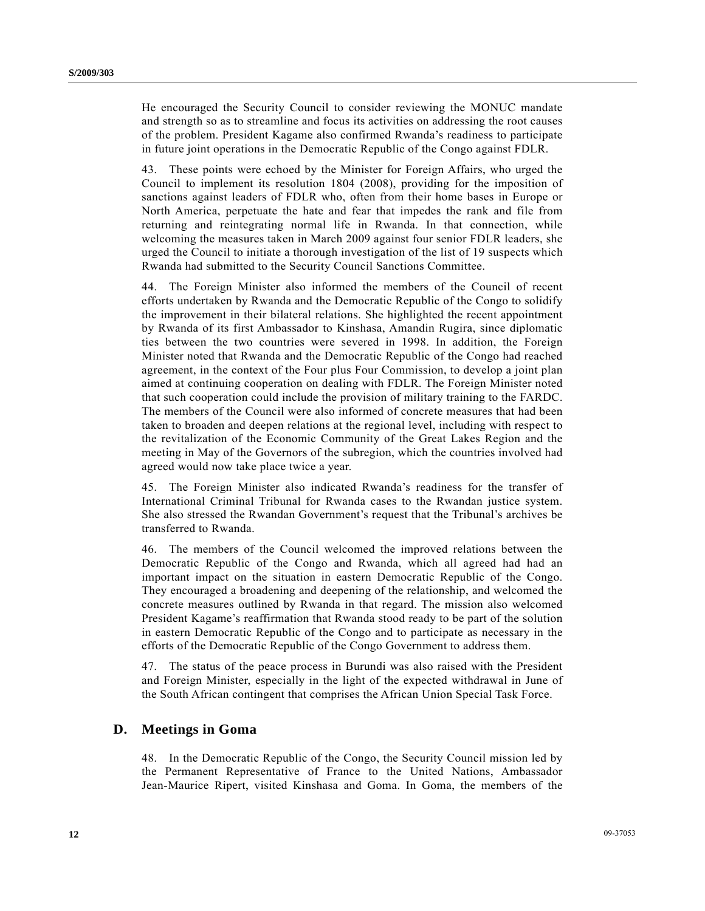He encouraged the Security Council to consider reviewing the MONUC mandate and strength so as to streamline and focus its activities on addressing the root causes of the problem. President Kagame also confirmed Rwanda's readiness to participate in future joint operations in the Democratic Republic of the Congo against FDLR.

43. These points were echoed by the Minister for Foreign Affairs, who urged the Council to implement its resolution 1804 (2008), providing for the imposition of sanctions against leaders of FDLR who, often from their home bases in Europe or North America, perpetuate the hate and fear that impedes the rank and file from returning and reintegrating normal life in Rwanda. In that connection, while welcoming the measures taken in March 2009 against four senior FDLR leaders, she urged the Council to initiate a thorough investigation of the list of 19 suspects which Rwanda had submitted to the Security Council Sanctions Committee.

44. The Foreign Minister also informed the members of the Council of recent efforts undertaken by Rwanda and the Democratic Republic of the Congo to solidify the improvement in their bilateral relations. She highlighted the recent appointment by Rwanda of its first Ambassador to Kinshasa, Amandin Rugira, since diplomatic ties between the two countries were severed in 1998. In addition, the Foreign Minister noted that Rwanda and the Democratic Republic of the Congo had reached agreement, in the context of the Four plus Four Commission, to develop a joint plan aimed at continuing cooperation on dealing with FDLR. The Foreign Minister noted that such cooperation could include the provision of military training to the FARDC. The members of the Council were also informed of concrete measures that had been taken to broaden and deepen relations at the regional level, including with respect to the revitalization of the Economic Community of the Great Lakes Region and the meeting in May of the Governors of the subregion, which the countries involved had agreed would now take place twice a year.

45. The Foreign Minister also indicated Rwanda's readiness for the transfer of International Criminal Tribunal for Rwanda cases to the Rwandan justice system. She also stressed the Rwandan Government's request that the Tribunal's archives be transferred to Rwanda.

46. The members of the Council welcomed the improved relations between the Democratic Republic of the Congo and Rwanda, which all agreed had had an important impact on the situation in eastern Democratic Republic of the Congo. They encouraged a broadening and deepening of the relationship, and welcomed the concrete measures outlined by Rwanda in that regard. The mission also welcomed President Kagame's reaffirmation that Rwanda stood ready to be part of the solution in eastern Democratic Republic of the Congo and to participate as necessary in the efforts of the Democratic Republic of the Congo Government to address them.

47. The status of the peace process in Burundi was also raised with the President and Foreign Minister, especially in the light of the expected withdrawal in June of the South African contingent that comprises the African Union Special Task Force.

### **D. Meetings in Goma**

48. In the Democratic Republic of the Congo, the Security Council mission led by the Permanent Representative of France to the United Nations, Ambassador Jean-Maurice Ripert, visited Kinshasa and Goma. In Goma, the members of the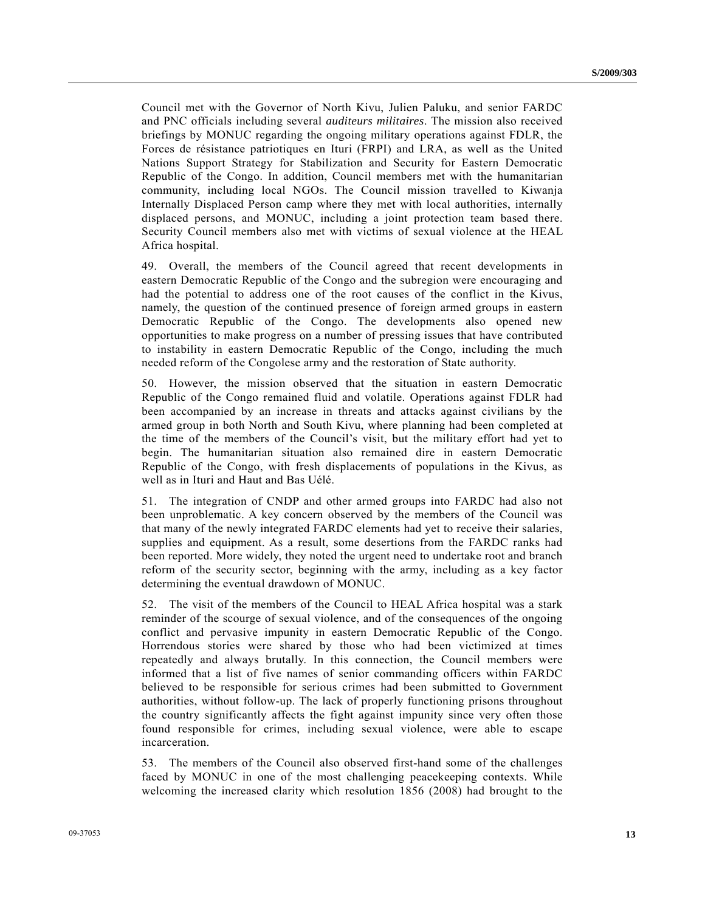Council met with the Governor of North Kivu, Julien Paluku, and senior FARDC and PNC officials including several *auditeurs militaires*. The mission also received briefings by MONUC regarding the ongoing military operations against FDLR, the Forces de résistance patriotiques en Ituri (FRPI) and LRA, as well as the United Nations Support Strategy for Stabilization and Security for Eastern Democratic Republic of the Congo. In addition, Council members met with the humanitarian community, including local NGOs. The Council mission travelled to Kiwanja Internally Displaced Person camp where they met with local authorities, internally displaced persons, and MONUC, including a joint protection team based there. Security Council members also met with victims of sexual violence at the HEAL Africa hospital.

49. Overall, the members of the Council agreed that recent developments in eastern Democratic Republic of the Congo and the subregion were encouraging and had the potential to address one of the root causes of the conflict in the Kivus, namely, the question of the continued presence of foreign armed groups in eastern Democratic Republic of the Congo. The developments also opened new opportunities to make progress on a number of pressing issues that have contributed to instability in eastern Democratic Republic of the Congo, including the much needed reform of the Congolese army and the restoration of State authority.

50. However, the mission observed that the situation in eastern Democratic Republic of the Congo remained fluid and volatile. Operations against FDLR had been accompanied by an increase in threats and attacks against civilians by the armed group in both North and South Kivu, where planning had been completed at the time of the members of the Council's visit, but the military effort had yet to begin. The humanitarian situation also remained dire in eastern Democratic Republic of the Congo, with fresh displacements of populations in the Kivus, as well as in Ituri and Haut and Bas Uélé.

51. The integration of CNDP and other armed groups into FARDC had also not been unproblematic. A key concern observed by the members of the Council was that many of the newly integrated FARDC elements had yet to receive their salaries, supplies and equipment. As a result, some desertions from the FARDC ranks had been reported. More widely, they noted the urgent need to undertake root and branch reform of the security sector, beginning with the army, including as a key factor determining the eventual drawdown of MONUC.

52. The visit of the members of the Council to HEAL Africa hospital was a stark reminder of the scourge of sexual violence, and of the consequences of the ongoing conflict and pervasive impunity in eastern Democratic Republic of the Congo. Horrendous stories were shared by those who had been victimized at times repeatedly and always brutally. In this connection, the Council members were informed that a list of five names of senior commanding officers within FARDC believed to be responsible for serious crimes had been submitted to Government authorities, without follow-up. The lack of properly functioning prisons throughout the country significantly affects the fight against impunity since very often those found responsible for crimes, including sexual violence, were able to escape incarceration.

53. The members of the Council also observed first-hand some of the challenges faced by MONUC in one of the most challenging peacekeeping contexts. While welcoming the increased clarity which resolution 1856 (2008) had brought to the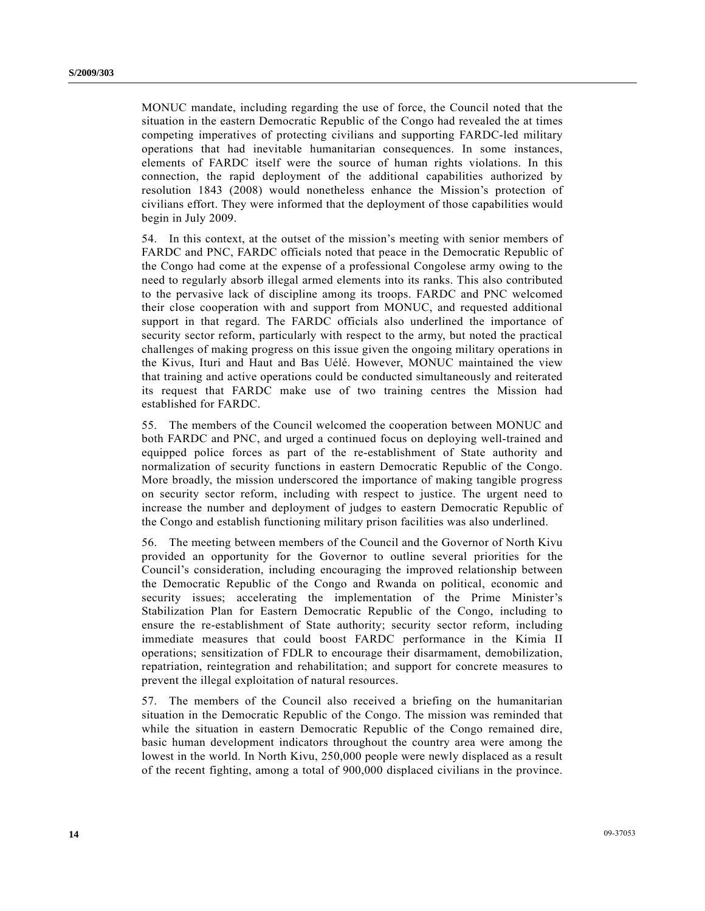MONUC mandate, including regarding the use of force, the Council noted that the situation in the eastern Democratic Republic of the Congo had revealed the at times competing imperatives of protecting civilians and supporting FARDC-led military operations that had inevitable humanitarian consequences. In some instances, elements of FARDC itself were the source of human rights violations. In this connection, the rapid deployment of the additional capabilities authorized by resolution 1843 (2008) would nonetheless enhance the Mission's protection of civilians effort. They were informed that the deployment of those capabilities would begin in July 2009.

54. In this context, at the outset of the mission's meeting with senior members of FARDC and PNC, FARDC officials noted that peace in the Democratic Republic of the Congo had come at the expense of a professional Congolese army owing to the need to regularly absorb illegal armed elements into its ranks. This also contributed to the pervasive lack of discipline among its troops. FARDC and PNC welcomed their close cooperation with and support from MONUC, and requested additional support in that regard. The FARDC officials also underlined the importance of security sector reform, particularly with respect to the army, but noted the practical challenges of making progress on this issue given the ongoing military operations in the Kivus, Ituri and Haut and Bas Uélé. However, MONUC maintained the view that training and active operations could be conducted simultaneously and reiterated its request that FARDC make use of two training centres the Mission had established for FARDC.

55. The members of the Council welcomed the cooperation between MONUC and both FARDC and PNC, and urged a continued focus on deploying well-trained and equipped police forces as part of the re-establishment of State authority and normalization of security functions in eastern Democratic Republic of the Congo. More broadly, the mission underscored the importance of making tangible progress on security sector reform, including with respect to justice. The urgent need to increase the number and deployment of judges to eastern Democratic Republic of the Congo and establish functioning military prison facilities was also underlined.

56. The meeting between members of the Council and the Governor of North Kivu provided an opportunity for the Governor to outline several priorities for the Council's consideration, including encouraging the improved relationship between the Democratic Republic of the Congo and Rwanda on political, economic and security issues; accelerating the implementation of the Prime Minister's Stabilization Plan for Eastern Democratic Republic of the Congo, including to ensure the re-establishment of State authority; security sector reform, including immediate measures that could boost FARDC performance in the Kimia II operations; sensitization of FDLR to encourage their disarmament, demobilization, repatriation, reintegration and rehabilitation; and support for concrete measures to prevent the illegal exploitation of natural resources.

57. The members of the Council also received a briefing on the humanitarian situation in the Democratic Republic of the Congo. The mission was reminded that while the situation in eastern Democratic Republic of the Congo remained dire, basic human development indicators throughout the country area were among the lowest in the world. In North Kivu, 250,000 people were newly displaced as a result of the recent fighting, among a total of 900,000 displaced civilians in the province.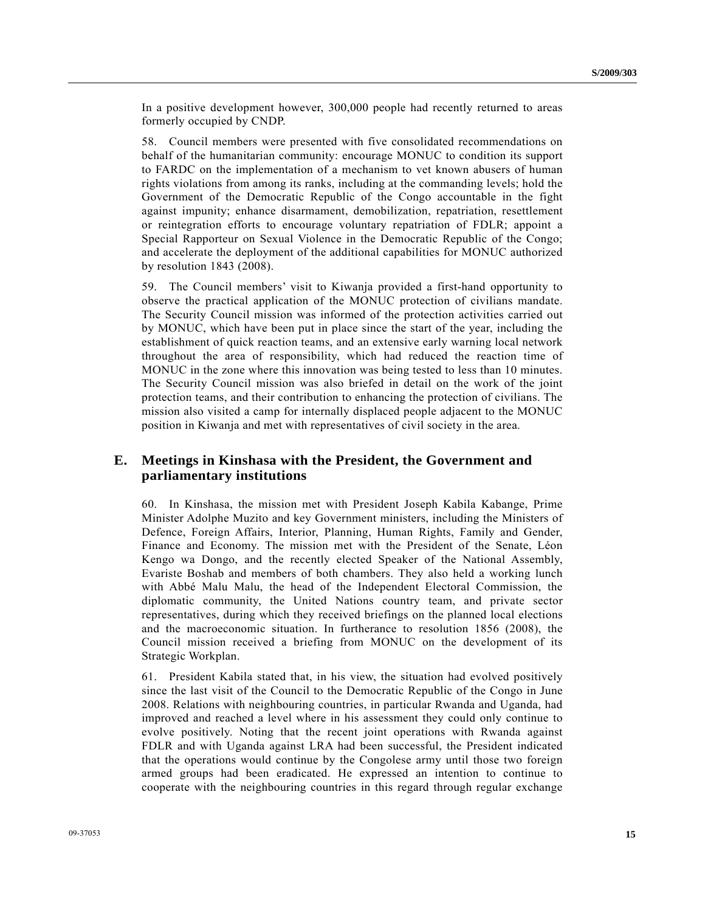In a positive development however, 300,000 people had recently returned to areas formerly occupied by CNDP.

58. Council members were presented with five consolidated recommendations on behalf of the humanitarian community: encourage MONUC to condition its support to FARDC on the implementation of a mechanism to vet known abusers of human rights violations from among its ranks, including at the commanding levels; hold the Government of the Democratic Republic of the Congo accountable in the fight against impunity; enhance disarmament, demobilization, repatriation, resettlement or reintegration efforts to encourage voluntary repatriation of FDLR; appoint a Special Rapporteur on Sexual Violence in the Democratic Republic of the Congo; and accelerate the deployment of the additional capabilities for MONUC authorized by resolution 1843 (2008).

59. The Council members' visit to Kiwanja provided a first-hand opportunity to observe the practical application of the MONUC protection of civilians mandate. The Security Council mission was informed of the protection activities carried out by MONUC, which have been put in place since the start of the year, including the establishment of quick reaction teams, and an extensive early warning local network throughout the area of responsibility, which had reduced the reaction time of MONUC in the zone where this innovation was being tested to less than 10 minutes. The Security Council mission was also briefed in detail on the work of the joint protection teams, and their contribution to enhancing the protection of civilians. The mission also visited a camp for internally displaced people adjacent to the MONUC position in Kiwanja and met with representatives of civil society in the area.

## **E. Meetings in Kinshasa with the President, the Government and parliamentary institutions**

60. In Kinshasa, the mission met with President Joseph Kabila Kabange, Prime Minister Adolphe Muzito and key Government ministers, including the Ministers of Defence, Foreign Affairs, Interior, Planning, Human Rights, Family and Gender, Finance and Economy. The mission met with the President of the Senate, Léon Kengo wa Dongo, and the recently elected Speaker of the National Assembly, Evariste Boshab and members of both chambers. They also held a working lunch with Abbé Malu Malu, the head of the Independent Electoral Commission, the diplomatic community, the United Nations country team, and private sector representatives, during which they received briefings on the planned local elections and the macroeconomic situation. In furtherance to resolution 1856 (2008), the Council mission received a briefing from MONUC on the development of its Strategic Workplan.

61. President Kabila stated that, in his view, the situation had evolved positively since the last visit of the Council to the Democratic Republic of the Congo in June 2008. Relations with neighbouring countries, in particular Rwanda and Uganda, had improved and reached a level where in his assessment they could only continue to evolve positively. Noting that the recent joint operations with Rwanda against FDLR and with Uganda against LRA had been successful, the President indicated that the operations would continue by the Congolese army until those two foreign armed groups had been eradicated. He expressed an intention to continue to cooperate with the neighbouring countries in this regard through regular exchange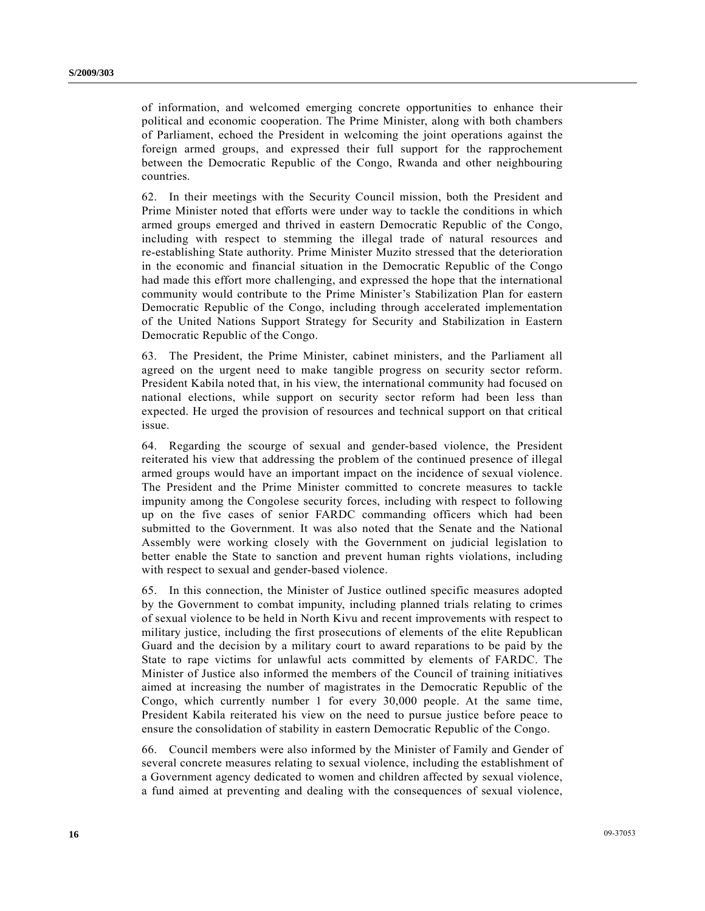of information, and welcomed emerging concrete opportunities to enhance their political and economic cooperation. The Prime Minister, along with both chambers of Parliament, echoed the President in welcoming the joint operations against the foreign armed groups, and expressed their full support for the rapprochement between the Democratic Republic of the Congo, Rwanda and other neighbouring countries.

62. In their meetings with the Security Council mission, both the President and Prime Minister noted that efforts were under way to tackle the conditions in which armed groups emerged and thrived in eastern Democratic Republic of the Congo, including with respect to stemming the illegal trade of natural resources and re-establishing State authority. Prime Minister Muzito stressed that the deterioration in the economic and financial situation in the Democratic Republic of the Congo had made this effort more challenging, and expressed the hope that the international community would contribute to the Prime Minister's Stabilization Plan for eastern Democratic Republic of the Congo, including through accelerated implementation of the United Nations Support Strategy for Security and Stabilization in Eastern Democratic Republic of the Congo.

63. The President, the Prime Minister, cabinet ministers, and the Parliament all agreed on the urgent need to make tangible progress on security sector reform. President Kabila noted that, in his view, the international community had focused on national elections, while support on security sector reform had been less than expected. He urged the provision of resources and technical support on that critical issue.

64. Regarding the scourge of sexual and gender-based violence, the President reiterated his view that addressing the problem of the continued presence of illegal armed groups would have an important impact on the incidence of sexual violence. The President and the Prime Minister committed to concrete measures to tackle impunity among the Congolese security forces, including with respect to following up on the five cases of senior FARDC commanding officers which had been submitted to the Government. It was also noted that the Senate and the National Assembly were working closely with the Government on judicial legislation to better enable the State to sanction and prevent human rights violations, including with respect to sexual and gender-based violence.

65. In this connection, the Minister of Justice outlined specific measures adopted by the Government to combat impunity, including planned trials relating to crimes of sexual violence to be held in North Kivu and recent improvements with respect to military justice, including the first prosecutions of elements of the elite Republican Guard and the decision by a military court to award reparations to be paid by the State to rape victims for unlawful acts committed by elements of FARDC. The Minister of Justice also informed the members of the Council of training initiatives aimed at increasing the number of magistrates in the Democratic Republic of the Congo, which currently number 1 for every 30,000 people. At the same time, President Kabila reiterated his view on the need to pursue justice before peace to ensure the consolidation of stability in eastern Democratic Republic of the Congo.

66. Council members were also informed by the Minister of Family and Gender of several concrete measures relating to sexual violence, including the establishment of a Government agency dedicated to women and children affected by sexual violence, a fund aimed at preventing and dealing with the consequences of sexual violence,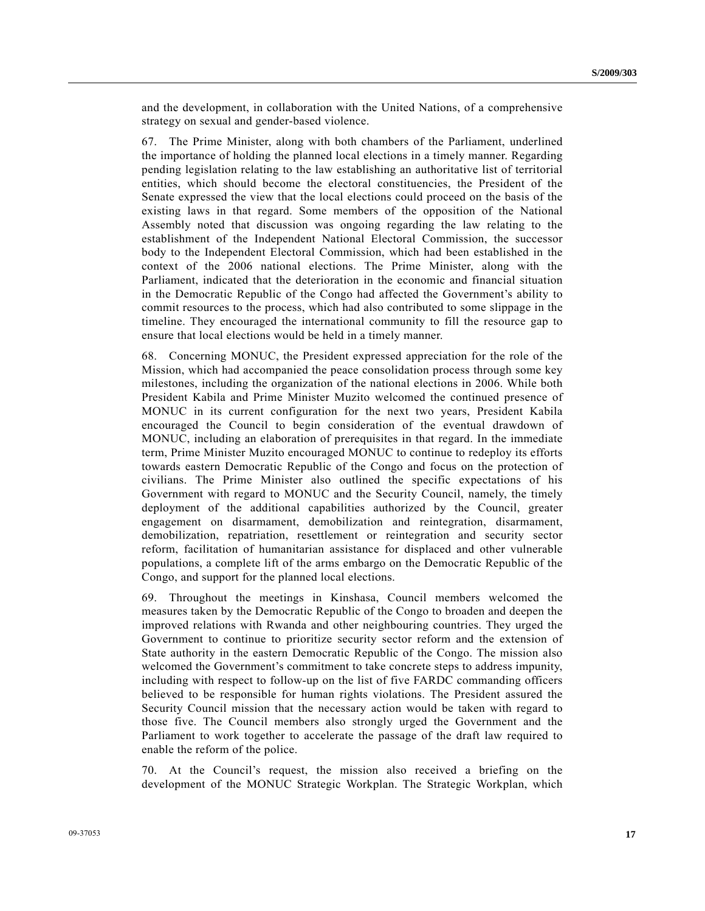and the development, in collaboration with the United Nations, of a comprehensive strategy on sexual and gender-based violence.

67. The Prime Minister, along with both chambers of the Parliament, underlined the importance of holding the planned local elections in a timely manner. Regarding pending legislation relating to the law establishing an authoritative list of territorial entities, which should become the electoral constituencies, the President of the Senate expressed the view that the local elections could proceed on the basis of the existing laws in that regard. Some members of the opposition of the National Assembly noted that discussion was ongoing regarding the law relating to the establishment of the Independent National Electoral Commission, the successor body to the Independent Electoral Commission, which had been established in the context of the 2006 national elections. The Prime Minister, along with the Parliament, indicated that the deterioration in the economic and financial situation in the Democratic Republic of the Congo had affected the Government's ability to commit resources to the process, which had also contributed to some slippage in the timeline. They encouraged the international community to fill the resource gap to ensure that local elections would be held in a timely manner.

68. Concerning MONUC, the President expressed appreciation for the role of the Mission, which had accompanied the peace consolidation process through some key milestones, including the organization of the national elections in 2006. While both President Kabila and Prime Minister Muzito welcomed the continued presence of MONUC in its current configuration for the next two years, President Kabila encouraged the Council to begin consideration of the eventual drawdown of MONUC, including an elaboration of prerequisites in that regard. In the immediate term, Prime Minister Muzito encouraged MONUC to continue to redeploy its efforts towards eastern Democratic Republic of the Congo and focus on the protection of civilians. The Prime Minister also outlined the specific expectations of his Government with regard to MONUC and the Security Council, namely, the timely deployment of the additional capabilities authorized by the Council, greater engagement on disarmament, demobilization and reintegration, disarmament, demobilization, repatriation, resettlement or reintegration and security sector reform, facilitation of humanitarian assistance for displaced and other vulnerable populations, a complete lift of the arms embargo on the Democratic Republic of the Congo, and support for the planned local elections.

69. Throughout the meetings in Kinshasa, Council members welcomed the measures taken by the Democratic Republic of the Congo to broaden and deepen the improved relations with Rwanda and other neighbouring countries. They urged the Government to continue to prioritize security sector reform and the extension of State authority in the eastern Democratic Republic of the Congo. The mission also welcomed the Government's commitment to take concrete steps to address impunity, including with respect to follow-up on the list of five FARDC commanding officers believed to be responsible for human rights violations. The President assured the Security Council mission that the necessary action would be taken with regard to those five. The Council members also strongly urged the Government and the Parliament to work together to accelerate the passage of the draft law required to enable the reform of the police.

70. At the Council's request, the mission also received a briefing on the development of the MONUC Strategic Workplan. The Strategic Workplan, which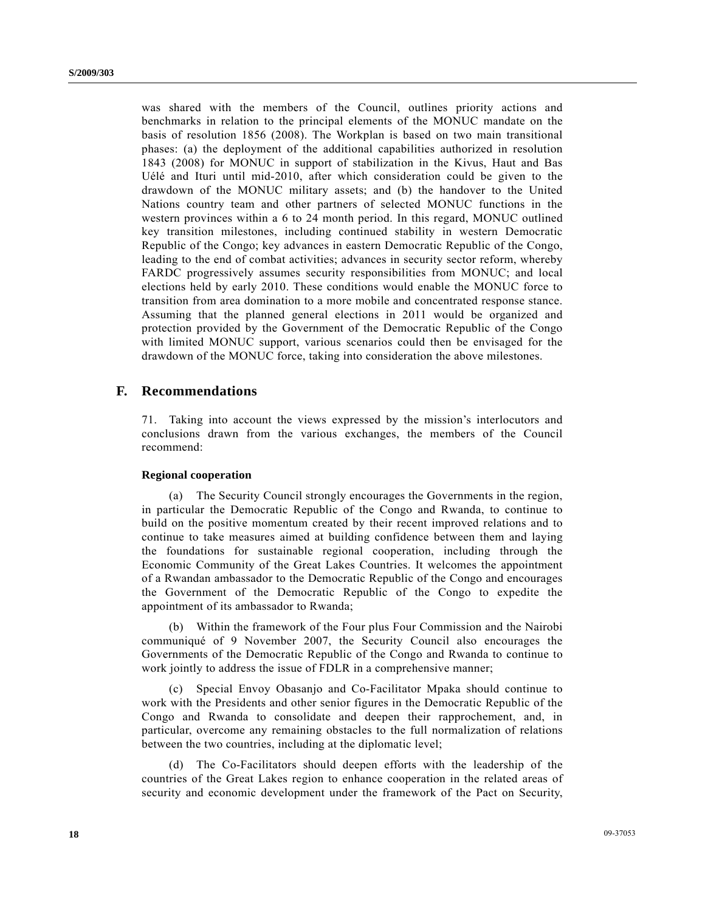was shared with the members of the Council, outlines priority actions and benchmarks in relation to the principal elements of the MONUC mandate on the basis of resolution 1856 (2008). The Workplan is based on two main transitional phases: (a) the deployment of the additional capabilities authorized in resolution 1843 (2008) for MONUC in support of stabilization in the Kivus, Haut and Bas Uélé and Ituri until mid-2010, after which consideration could be given to the drawdown of the MONUC military assets; and (b) the handover to the United Nations country team and other partners of selected MONUC functions in the western provinces within a 6 to 24 month period. In this regard, MONUC outlined key transition milestones, including continued stability in western Democratic Republic of the Congo; key advances in eastern Democratic Republic of the Congo, leading to the end of combat activities; advances in security sector reform, whereby FARDC progressively assumes security responsibilities from MONUC; and local elections held by early 2010. These conditions would enable the MONUC force to transition from area domination to a more mobile and concentrated response stance. Assuming that the planned general elections in 2011 would be organized and protection provided by the Government of the Democratic Republic of the Congo with limited MONUC support, various scenarios could then be envisaged for the drawdown of the MONUC force, taking into consideration the above milestones.

### **F. Recommendations**

71. Taking into account the views expressed by the mission's interlocutors and conclusions drawn from the various exchanges, the members of the Council recommend:

#### **Regional cooperation**

 (a) The Security Council strongly encourages the Governments in the region, in particular the Democratic Republic of the Congo and Rwanda, to continue to build on the positive momentum created by their recent improved relations and to continue to take measures aimed at building confidence between them and laying the foundations for sustainable regional cooperation, including through the Economic Community of the Great Lakes Countries. It welcomes the appointment of a Rwandan ambassador to the Democratic Republic of the Congo and encourages the Government of the Democratic Republic of the Congo to expedite the appointment of its ambassador to Rwanda;

 (b) Within the framework of the Four plus Four Commission and the Nairobi communiqué of 9 November 2007, the Security Council also encourages the Governments of the Democratic Republic of the Congo and Rwanda to continue to work jointly to address the issue of FDLR in a comprehensive manner;

 (c) Special Envoy Obasanjo and Co-Facilitator Mpaka should continue to work with the Presidents and other senior figures in the Democratic Republic of the Congo and Rwanda to consolidate and deepen their rapprochement, and, in particular, overcome any remaining obstacles to the full normalization of relations between the two countries, including at the diplomatic level;

 (d) The Co-Facilitators should deepen efforts with the leadership of the countries of the Great Lakes region to enhance cooperation in the related areas of security and economic development under the framework of the Pact on Security,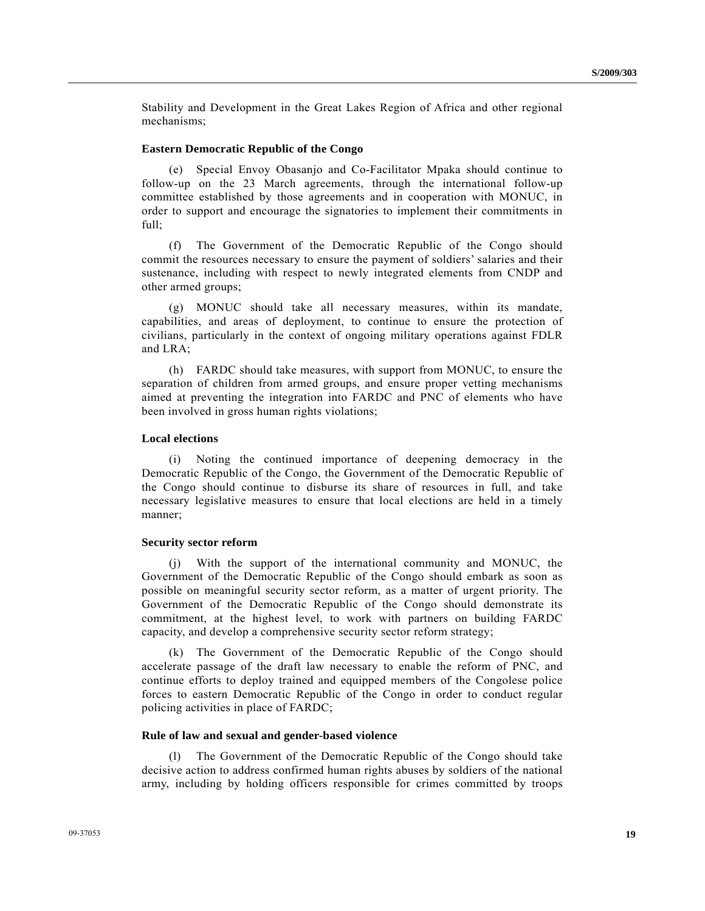Stability and Development in the Great Lakes Region of Africa and other regional mechanisms;

#### **Eastern Democratic Republic of the Congo**

 (e) Special Envoy Obasanjo and Co-Facilitator Mpaka should continue to follow-up on the 23 March agreements, through the international follow-up committee established by those agreements and in cooperation with MONUC, in order to support and encourage the signatories to implement their commitments in full;

 (f) The Government of the Democratic Republic of the Congo should commit the resources necessary to ensure the payment of soldiers' salaries and their sustenance, including with respect to newly integrated elements from CNDP and other armed groups;

 (g) MONUC should take all necessary measures, within its mandate, capabilities, and areas of deployment, to continue to ensure the protection of civilians, particularly in the context of ongoing military operations against FDLR and LRA;

 (h) FARDC should take measures, with support from MONUC, to ensure the separation of children from armed groups, and ensure proper vetting mechanisms aimed at preventing the integration into FARDC and PNC of elements who have been involved in gross human rights violations;

#### **Local elections**

 (i) Noting the continued importance of deepening democracy in the Democratic Republic of the Congo, the Government of the Democratic Republic of the Congo should continue to disburse its share of resources in full, and take necessary legislative measures to ensure that local elections are held in a timely manner;

#### **Security sector reform**

 (j) With the support of the international community and MONUC, the Government of the Democratic Republic of the Congo should embark as soon as possible on meaningful security sector reform, as a matter of urgent priority. The Government of the Democratic Republic of the Congo should demonstrate its commitment, at the highest level, to work with partners on building FARDC capacity, and develop a comprehensive security sector reform strategy;

 (k) The Government of the Democratic Republic of the Congo should accelerate passage of the draft law necessary to enable the reform of PNC, and continue efforts to deploy trained and equipped members of the Congolese police forces to eastern Democratic Republic of the Congo in order to conduct regular policing activities in place of FARDC;

#### **Rule of law and sexual and gender-based violence**

 (l) The Government of the Democratic Republic of the Congo should take decisive action to address confirmed human rights abuses by soldiers of the national army, including by holding officers responsible for crimes committed by troops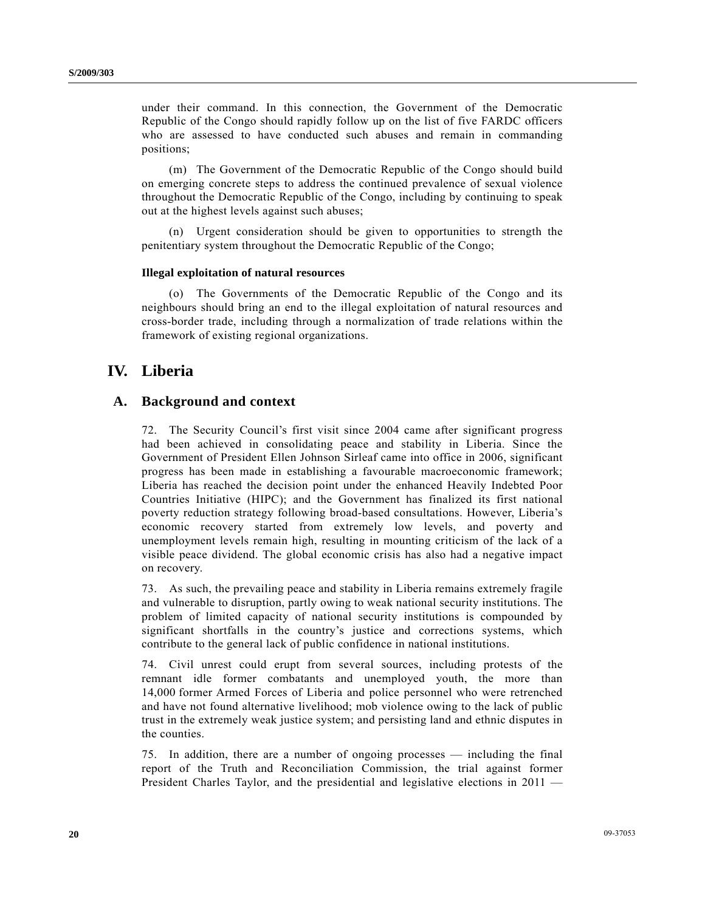under their command. In this connection, the Government of the Democratic Republic of the Congo should rapidly follow up on the list of five FARDC officers who are assessed to have conducted such abuses and remain in commanding positions;

 (m) The Government of the Democratic Republic of the Congo should build on emerging concrete steps to address the continued prevalence of sexual violence throughout the Democratic Republic of the Congo, including by continuing to speak out at the highest levels against such abuses;

 (n) Urgent consideration should be given to opportunities to strength the penitentiary system throughout the Democratic Republic of the Congo;

#### **Illegal exploitation of natural resources**

 (o) The Governments of the Democratic Republic of the Congo and its neighbours should bring an end to the illegal exploitation of natural resources and cross-border trade, including through a normalization of trade relations within the framework of existing regional organizations.

## **IV. Liberia**

### **A. Background and context**

72. The Security Council's first visit since 2004 came after significant progress had been achieved in consolidating peace and stability in Liberia. Since the Government of President Ellen Johnson Sirleaf came into office in 2006, significant progress has been made in establishing a favourable macroeconomic framework; Liberia has reached the decision point under the enhanced Heavily Indebted Poor Countries Initiative (HIPC); and the Government has finalized its first national poverty reduction strategy following broad-based consultations. However, Liberia's economic recovery started from extremely low levels, and poverty and unemployment levels remain high, resulting in mounting criticism of the lack of a visible peace dividend. The global economic crisis has also had a negative impact on recovery.

73. As such, the prevailing peace and stability in Liberia remains extremely fragile and vulnerable to disruption, partly owing to weak national security institutions. The problem of limited capacity of national security institutions is compounded by significant shortfalls in the country's justice and corrections systems, which contribute to the general lack of public confidence in national institutions.

74. Civil unrest could erupt from several sources, including protests of the remnant idle former combatants and unemployed youth, the more than 14,000 former Armed Forces of Liberia and police personnel who were retrenched and have not found alternative livelihood; mob violence owing to the lack of public trust in the extremely weak justice system; and persisting land and ethnic disputes in the counties.

75. In addition, there are a number of ongoing processes — including the final report of the Truth and Reconciliation Commission, the trial against former President Charles Taylor, and the presidential and legislative elections in 2011 —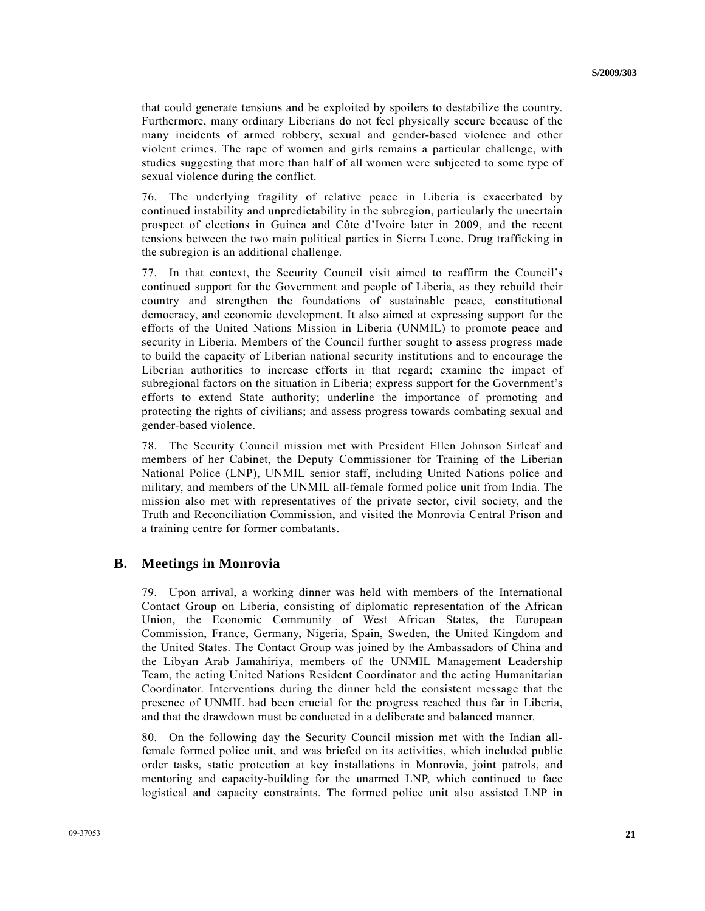that could generate tensions and be exploited by spoilers to destabilize the country. Furthermore, many ordinary Liberians do not feel physically secure because of the many incidents of armed robbery, sexual and gender-based violence and other violent crimes. The rape of women and girls remains a particular challenge, with studies suggesting that more than half of all women were subjected to some type of sexual violence during the conflict.

76. The underlying fragility of relative peace in Liberia is exacerbated by continued instability and unpredictability in the subregion, particularly the uncertain prospect of elections in Guinea and Côte d'Ivoire later in 2009, and the recent tensions between the two main political parties in Sierra Leone. Drug trafficking in the subregion is an additional challenge.

77. In that context, the Security Council visit aimed to reaffirm the Council's continued support for the Government and people of Liberia, as they rebuild their country and strengthen the foundations of sustainable peace, constitutional democracy, and economic development. It also aimed at expressing support for the efforts of the United Nations Mission in Liberia (UNMIL) to promote peace and security in Liberia. Members of the Council further sought to assess progress made to build the capacity of Liberian national security institutions and to encourage the Liberian authorities to increase efforts in that regard; examine the impact of subregional factors on the situation in Liberia; express support for the Government's efforts to extend State authority; underline the importance of promoting and protecting the rights of civilians; and assess progress towards combating sexual and gender-based violence.

78. The Security Council mission met with President Ellen Johnson Sirleaf and members of her Cabinet, the Deputy Commissioner for Training of the Liberian National Police (LNP), UNMIL senior staff, including United Nations police and military, and members of the UNMIL all-female formed police unit from India. The mission also met with representatives of the private sector, civil society, and the Truth and Reconciliation Commission, and visited the Monrovia Central Prison and a training centre for former combatants.

### **B. Meetings in Monrovia**

79. Upon arrival, a working dinner was held with members of the International Contact Group on Liberia, consisting of diplomatic representation of the African Union, the Economic Community of West African States, the European Commission, France, Germany, Nigeria, Spain, Sweden, the United Kingdom and the United States. The Contact Group was joined by the Ambassadors of China and the Libyan Arab Jamahiriya, members of the UNMIL Management Leadership Team, the acting United Nations Resident Coordinator and the acting Humanitarian Coordinator. Interventions during the dinner held the consistent message that the presence of UNMIL had been crucial for the progress reached thus far in Liberia, and that the drawdown must be conducted in a deliberate and balanced manner.

80. On the following day the Security Council mission met with the Indian allfemale formed police unit, and was briefed on its activities, which included public order tasks, static protection at key installations in Monrovia, joint patrols, and mentoring and capacity-building for the unarmed LNP, which continued to face logistical and capacity constraints. The formed police unit also assisted LNP in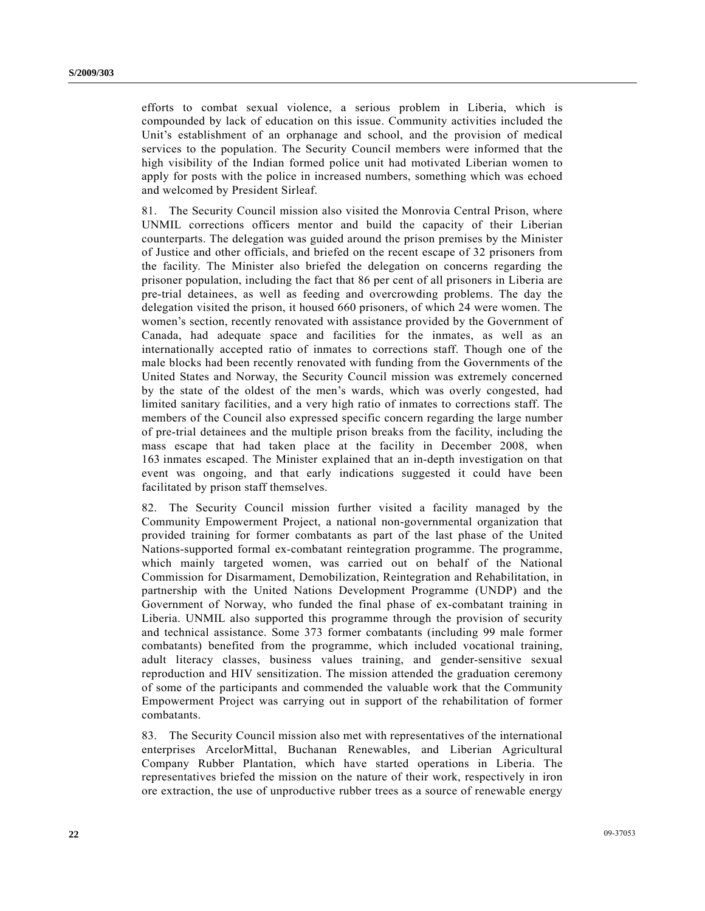efforts to combat sexual violence, a serious problem in Liberia, which is compounded by lack of education on this issue. Community activities included the Unit's establishment of an orphanage and school, and the provision of medical services to the population. The Security Council members were informed that the high visibility of the Indian formed police unit had motivated Liberian women to apply for posts with the police in increased numbers, something which was echoed and welcomed by President Sirleaf.

81. The Security Council mission also visited the Monrovia Central Prison, where UNMIL corrections officers mentor and build the capacity of their Liberian counterparts. The delegation was guided around the prison premises by the Minister of Justice and other officials, and briefed on the recent escape of 32 prisoners from the facility. The Minister also briefed the delegation on concerns regarding the prisoner population, including the fact that 86 per cent of all prisoners in Liberia are pre-trial detainees, as well as feeding and overcrowding problems. The day the delegation visited the prison, it housed 660 prisoners, of which 24 were women. The women's section, recently renovated with assistance provided by the Government of Canada, had adequate space and facilities for the inmates, as well as an internationally accepted ratio of inmates to corrections staff. Though one of the male blocks had been recently renovated with funding from the Governments of the United States and Norway, the Security Council mission was extremely concerned by the state of the oldest of the men's wards, which was overly congested, had limited sanitary facilities, and a very high ratio of inmates to corrections staff. The members of the Council also expressed specific concern regarding the large number of pre-trial detainees and the multiple prison breaks from the facility, including the mass escape that had taken place at the facility in December 2008, when 163 inmates escaped. The Minister explained that an in-depth investigation on that event was ongoing, and that early indications suggested it could have been facilitated by prison staff themselves.

82. The Security Council mission further visited a facility managed by the Community Empowerment Project, a national non-governmental organization that provided training for former combatants as part of the last phase of the United Nations-supported formal ex-combatant reintegration programme. The programme, which mainly targeted women, was carried out on behalf of the National Commission for Disarmament, Demobilization, Reintegration and Rehabilitation, in partnership with the United Nations Development Programme (UNDP) and the Government of Norway, who funded the final phase of ex-combatant training in Liberia. UNMIL also supported this programme through the provision of security and technical assistance. Some 373 former combatants (including 99 male former combatants) benefited from the programme, which included vocational training, adult literacy classes, business values training, and gender-sensitive sexual reproduction and HIV sensitization. The mission attended the graduation ceremony of some of the participants and commended the valuable work that the Community Empowerment Project was carrying out in support of the rehabilitation of former combatants.

83. The Security Council mission also met with representatives of the international enterprises ArcelorMittal, Buchanan Renewables, and Liberian Agricultural Company Rubber Plantation, which have started operations in Liberia. The representatives briefed the mission on the nature of their work, respectively in iron ore extraction, the use of unproductive rubber trees as a source of renewable energy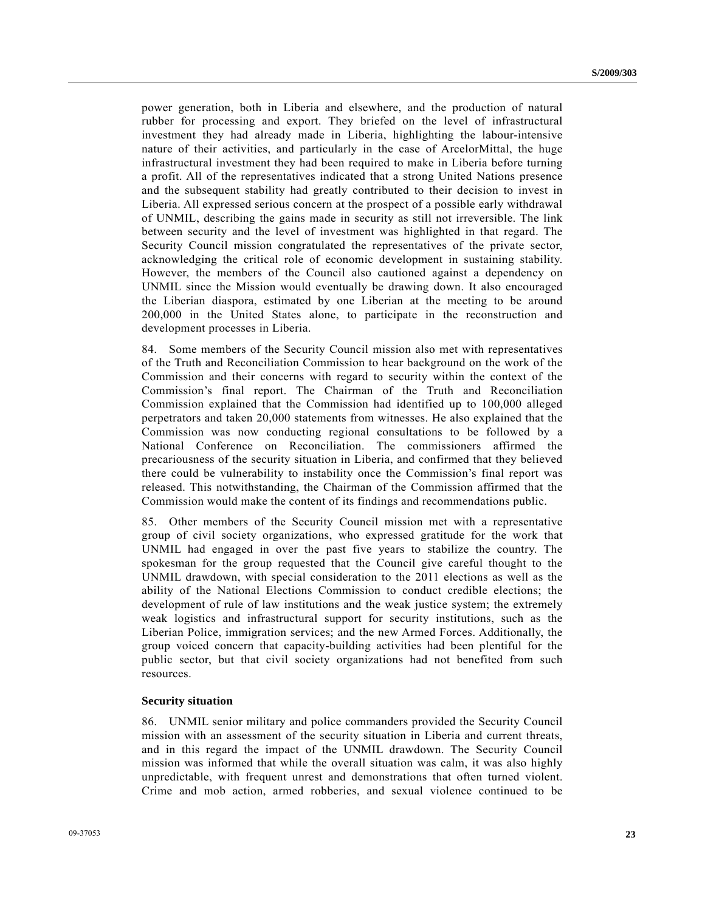power generation, both in Liberia and elsewhere, and the production of natural rubber for processing and export. They briefed on the level of infrastructural investment they had already made in Liberia, highlighting the labour-intensive nature of their activities, and particularly in the case of ArcelorMittal, the huge infrastructural investment they had been required to make in Liberia before turning a profit. All of the representatives indicated that a strong United Nations presence and the subsequent stability had greatly contributed to their decision to invest in Liberia. All expressed serious concern at the prospect of a possible early withdrawal of UNMIL, describing the gains made in security as still not irreversible. The link between security and the level of investment was highlighted in that regard. The Security Council mission congratulated the representatives of the private sector, acknowledging the critical role of economic development in sustaining stability. However, the members of the Council also cautioned against a dependency on UNMIL since the Mission would eventually be drawing down. It also encouraged the Liberian diaspora, estimated by one Liberian at the meeting to be around 200,000 in the United States alone, to participate in the reconstruction and development processes in Liberia.

84. Some members of the Security Council mission also met with representatives of the Truth and Reconciliation Commission to hear background on the work of the Commission and their concerns with regard to security within the context of the Commission's final report. The Chairman of the Truth and Reconciliation Commission explained that the Commission had identified up to 100,000 alleged perpetrators and taken 20,000 statements from witnesses. He also explained that the Commission was now conducting regional consultations to be followed by a National Conference on Reconciliation. The commissioners affirmed the precariousness of the security situation in Liberia, and confirmed that they believed there could be vulnerability to instability once the Commission's final report was released. This notwithstanding, the Chairman of the Commission affirmed that the Commission would make the content of its findings and recommendations public.

85. Other members of the Security Council mission met with a representative group of civil society organizations, who expressed gratitude for the work that UNMIL had engaged in over the past five years to stabilize the country. The spokesman for the group requested that the Council give careful thought to the UNMIL drawdown, with special consideration to the 2011 elections as well as the ability of the National Elections Commission to conduct credible elections; the development of rule of law institutions and the weak justice system; the extremely weak logistics and infrastructural support for security institutions, such as the Liberian Police, immigration services; and the new Armed Forces. Additionally, the group voiced concern that capacity-building activities had been plentiful for the public sector, but that civil society organizations had not benefited from such resources.

#### **Security situation**

86. UNMIL senior military and police commanders provided the Security Council mission with an assessment of the security situation in Liberia and current threats, and in this regard the impact of the UNMIL drawdown. The Security Council mission was informed that while the overall situation was calm, it was also highly unpredictable, with frequent unrest and demonstrations that often turned violent. Crime and mob action, armed robberies, and sexual violence continued to be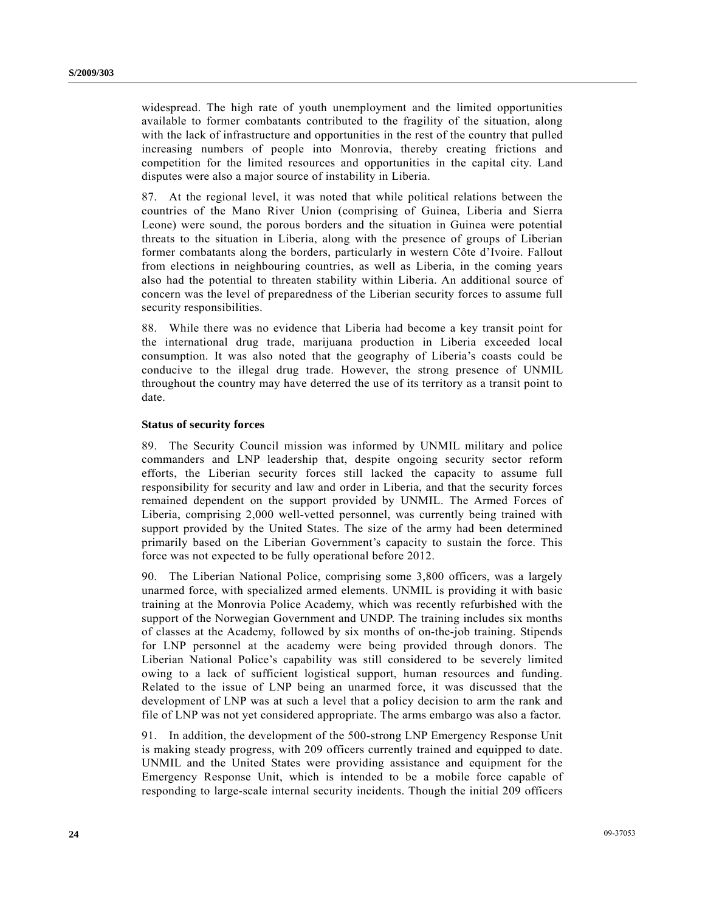widespread. The high rate of youth unemployment and the limited opportunities available to former combatants contributed to the fragility of the situation, along with the lack of infrastructure and opportunities in the rest of the country that pulled increasing numbers of people into Monrovia, thereby creating frictions and competition for the limited resources and opportunities in the capital city. Land disputes were also a major source of instability in Liberia.

87. At the regional level, it was noted that while political relations between the countries of the Mano River Union (comprising of Guinea, Liberia and Sierra Leone) were sound, the porous borders and the situation in Guinea were potential threats to the situation in Liberia, along with the presence of groups of Liberian former combatants along the borders, particularly in western Côte d'Ivoire. Fallout from elections in neighbouring countries, as well as Liberia, in the coming years also had the potential to threaten stability within Liberia. An additional source of concern was the level of preparedness of the Liberian security forces to assume full security responsibilities.

88. While there was no evidence that Liberia had become a key transit point for the international drug trade, marijuana production in Liberia exceeded local consumption. It was also noted that the geography of Liberia's coasts could be conducive to the illegal drug trade. However, the strong presence of UNMIL throughout the country may have deterred the use of its territory as a transit point to date.

#### **Status of security forces**

89. The Security Council mission was informed by UNMIL military and police commanders and LNP leadership that, despite ongoing security sector reform efforts, the Liberian security forces still lacked the capacity to assume full responsibility for security and law and order in Liberia, and that the security forces remained dependent on the support provided by UNMIL. The Armed Forces of Liberia, comprising 2,000 well-vetted personnel, was currently being trained with support provided by the United States. The size of the army had been determined primarily based on the Liberian Government's capacity to sustain the force. This force was not expected to be fully operational before 2012.

90. The Liberian National Police, comprising some 3,800 officers, was a largely unarmed force, with specialized armed elements. UNMIL is providing it with basic training at the Monrovia Police Academy, which was recently refurbished with the support of the Norwegian Government and UNDP. The training includes six months of classes at the Academy, followed by six months of on-the-job training. Stipends for LNP personnel at the academy were being provided through donors. The Liberian National Police's capability was still considered to be severely limited owing to a lack of sufficient logistical support, human resources and funding. Related to the issue of LNP being an unarmed force, it was discussed that the development of LNP was at such a level that a policy decision to arm the rank and file of LNP was not yet considered appropriate. The arms embargo was also a factor.

91. In addition, the development of the 500-strong LNP Emergency Response Unit is making steady progress, with 209 officers currently trained and equipped to date. UNMIL and the United States were providing assistance and equipment for the Emergency Response Unit, which is intended to be a mobile force capable of responding to large-scale internal security incidents. Though the initial 209 officers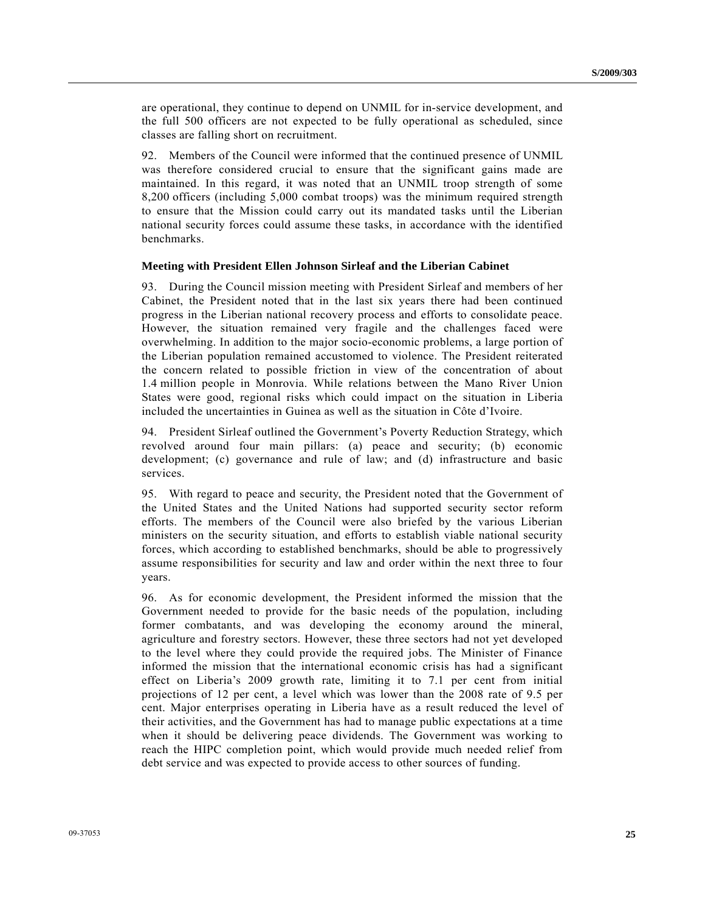are operational, they continue to depend on UNMIL for in-service development, and the full 500 officers are not expected to be fully operational as scheduled, since classes are falling short on recruitment.

92. Members of the Council were informed that the continued presence of UNMIL was therefore considered crucial to ensure that the significant gains made are maintained. In this regard, it was noted that an UNMIL troop strength of some 8,200 officers (including 5,000 combat troops) was the minimum required strength to ensure that the Mission could carry out its mandated tasks until the Liberian national security forces could assume these tasks, in accordance with the identified benchmarks.

#### **Meeting with President Ellen Johnson Sirleaf and the Liberian Cabinet**

93. During the Council mission meeting with President Sirleaf and members of her Cabinet, the President noted that in the last six years there had been continued progress in the Liberian national recovery process and efforts to consolidate peace. However, the situation remained very fragile and the challenges faced were overwhelming. In addition to the major socio-economic problems, a large portion of the Liberian population remained accustomed to violence. The President reiterated the concern related to possible friction in view of the concentration of about 1.4 million people in Monrovia. While relations between the Mano River Union States were good, regional risks which could impact on the situation in Liberia included the uncertainties in Guinea as well as the situation in Côte d'Ivoire.

94. President Sirleaf outlined the Government's Poverty Reduction Strategy, which revolved around four main pillars: (a) peace and security; (b) economic development; (c) governance and rule of law; and (d) infrastructure and basic services.

95. With regard to peace and security, the President noted that the Government of the United States and the United Nations had supported security sector reform efforts. The members of the Council were also briefed by the various Liberian ministers on the security situation, and efforts to establish viable national security forces, which according to established benchmarks, should be able to progressively assume responsibilities for security and law and order within the next three to four years.

96. As for economic development, the President informed the mission that the Government needed to provide for the basic needs of the population, including former combatants, and was developing the economy around the mineral, agriculture and forestry sectors. However, these three sectors had not yet developed to the level where they could provide the required jobs. The Minister of Finance informed the mission that the international economic crisis has had a significant effect on Liberia's 2009 growth rate, limiting it to 7.1 per cent from initial projections of 12 per cent, a level which was lower than the 2008 rate of 9.5 per cent. Major enterprises operating in Liberia have as a result reduced the level of their activities, and the Government has had to manage public expectations at a time when it should be delivering peace dividends. The Government was working to reach the HIPC completion point, which would provide much needed relief from debt service and was expected to provide access to other sources of funding.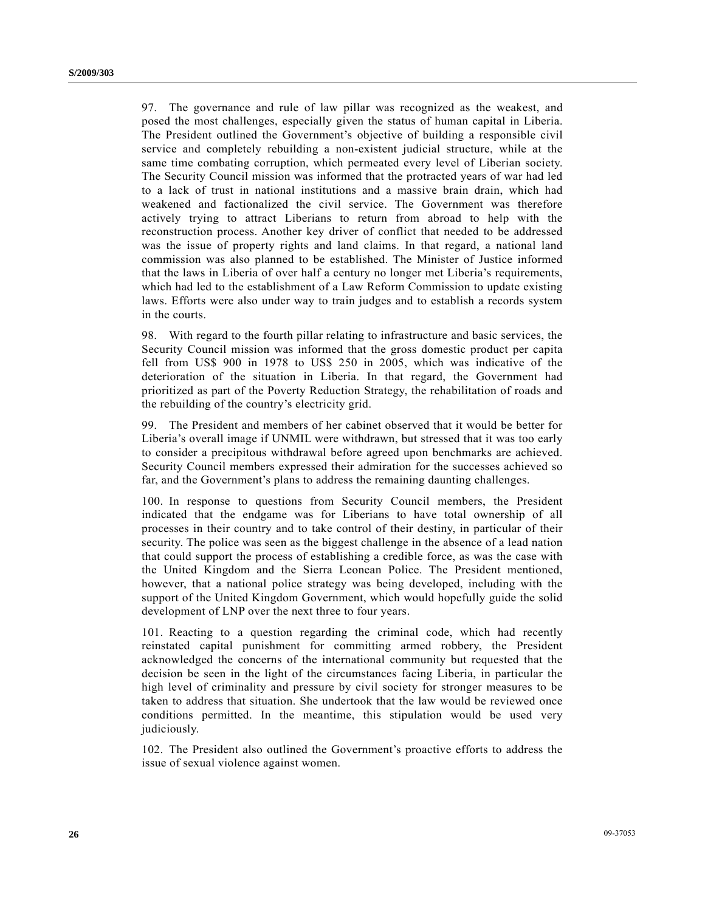97. The governance and rule of law pillar was recognized as the weakest, and posed the most challenges, especially given the status of human capital in Liberia. The President outlined the Government's objective of building a responsible civil service and completely rebuilding a non-existent judicial structure, while at the same time combating corruption, which permeated every level of Liberian society. The Security Council mission was informed that the protracted years of war had led to a lack of trust in national institutions and a massive brain drain, which had weakened and factionalized the civil service. The Government was therefore actively trying to attract Liberians to return from abroad to help with the reconstruction process. Another key driver of conflict that needed to be addressed was the issue of property rights and land claims. In that regard, a national land commission was also planned to be established. The Minister of Justice informed that the laws in Liberia of over half a century no longer met Liberia's requirements, which had led to the establishment of a Law Reform Commission to update existing laws. Efforts were also under way to train judges and to establish a records system in the courts.

98. With regard to the fourth pillar relating to infrastructure and basic services, the Security Council mission was informed that the gross domestic product per capita fell from US\$ 900 in 1978 to US\$ 250 in 2005, which was indicative of the deterioration of the situation in Liberia. In that regard, the Government had prioritized as part of the Poverty Reduction Strategy, the rehabilitation of roads and the rebuilding of the country's electricity grid.

99. The President and members of her cabinet observed that it would be better for Liberia's overall image if UNMIL were withdrawn, but stressed that it was too early to consider a precipitous withdrawal before agreed upon benchmarks are achieved. Security Council members expressed their admiration for the successes achieved so far, and the Government's plans to address the remaining daunting challenges.

100. In response to questions from Security Council members, the President indicated that the endgame was for Liberians to have total ownership of all processes in their country and to take control of their destiny, in particular of their security. The police was seen as the biggest challenge in the absence of a lead nation that could support the process of establishing a credible force, as was the case with the United Kingdom and the Sierra Leonean Police. The President mentioned, however, that a national police strategy was being developed, including with the support of the United Kingdom Government, which would hopefully guide the solid development of LNP over the next three to four years.

101. Reacting to a question regarding the criminal code, which had recently reinstated capital punishment for committing armed robbery, the President acknowledged the concerns of the international community but requested that the decision be seen in the light of the circumstances facing Liberia, in particular the high level of criminality and pressure by civil society for stronger measures to be taken to address that situation. She undertook that the law would be reviewed once conditions permitted. In the meantime, this stipulation would be used very judiciously.

102. The President also outlined the Government's proactive efforts to address the issue of sexual violence against women.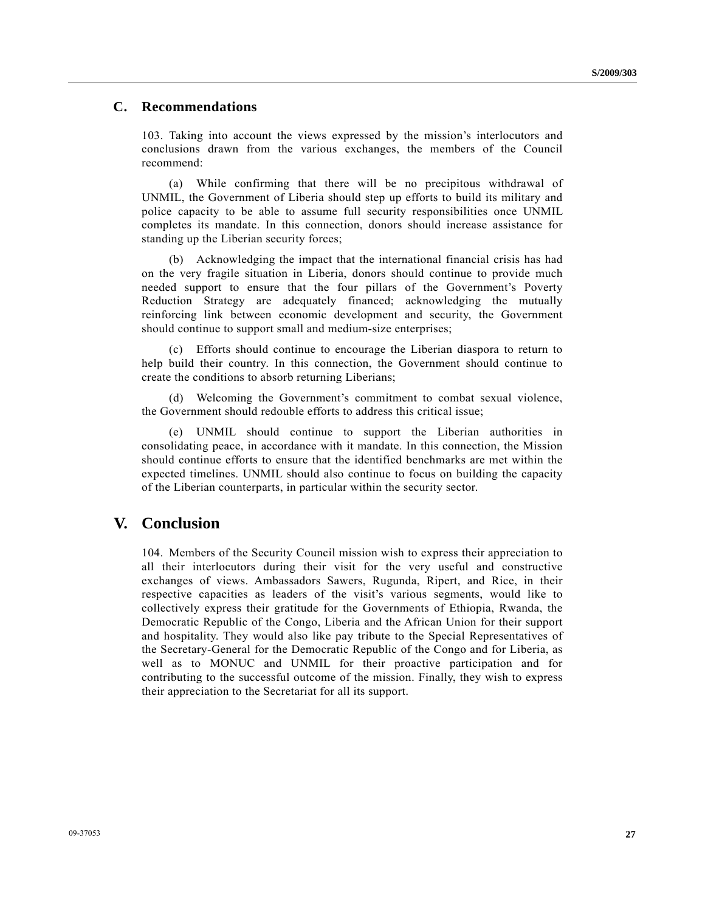### **C. Recommendations**

103. Taking into account the views expressed by the mission's interlocutors and conclusions drawn from the various exchanges, the members of the Council recommend:

 (a) While confirming that there will be no precipitous withdrawal of UNMIL, the Government of Liberia should step up efforts to build its military and police capacity to be able to assume full security responsibilities once UNMIL completes its mandate. In this connection, donors should increase assistance for standing up the Liberian security forces;

 (b) Acknowledging the impact that the international financial crisis has had on the very fragile situation in Liberia, donors should continue to provide much needed support to ensure that the four pillars of the Government's Poverty Reduction Strategy are adequately financed; acknowledging the mutually reinforcing link between economic development and security, the Government should continue to support small and medium-size enterprises;

 (c) Efforts should continue to encourage the Liberian diaspora to return to help build their country. In this connection, the Government should continue to create the conditions to absorb returning Liberians;

 (d) Welcoming the Government's commitment to combat sexual violence, the Government should redouble efforts to address this critical issue;

 (e) UNMIL should continue to support the Liberian authorities in consolidating peace, in accordance with it mandate. In this connection, the Mission should continue efforts to ensure that the identified benchmarks are met within the expected timelines. UNMIL should also continue to focus on building the capacity of the Liberian counterparts, in particular within the security sector.

## **V. Conclusion**

104. Members of the Security Council mission wish to express their appreciation to all their interlocutors during their visit for the very useful and constructive exchanges of views. Ambassadors Sawers, Rugunda, Ripert, and Rice, in their respective capacities as leaders of the visit's various segments, would like to collectively express their gratitude for the Governments of Ethiopia, Rwanda, the Democratic Republic of the Congo, Liberia and the African Union for their support and hospitality. They would also like pay tribute to the Special Representatives of the Secretary-General for the Democratic Republic of the Congo and for Liberia, as well as to MONUC and UNMIL for their proactive participation and for contributing to the successful outcome of the mission. Finally, they wish to express their appreciation to the Secretariat for all its support.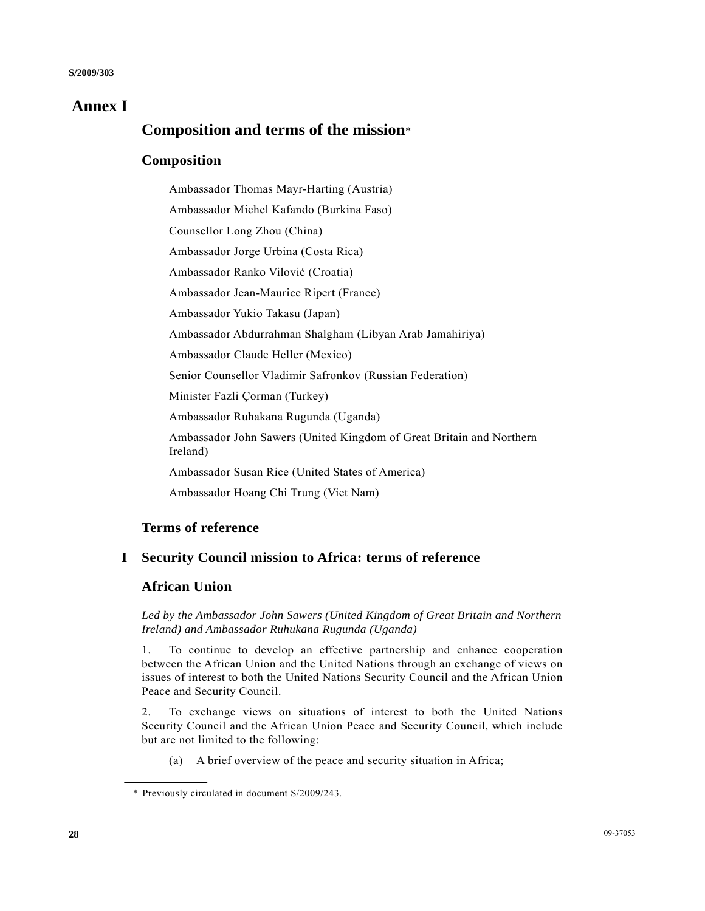# **Annex I**

# **Composition and terms of the mission**\*

## **Composition**

 Ambassador Thomas Mayr-Harting (Austria) Ambassador Michel Kafando (Burkina Faso) Counsellor Long Zhou (China) Ambassador Jorge Urbina (Costa Rica) Ambassador Ranko Vilović (Croatia) Ambassador Jean-Maurice Ripert (France) Ambassador Yukio Takasu (Japan) Ambassador Abdurrahman Shalgham (Libyan Arab Jamahiriya) Ambassador Claude Heller (Mexico) Senior Counsellor Vladimir Safronkov (Russian Federation) Minister Fazli Çorman (Turkey) Ambassador Ruhakana Rugunda (Uganda) Ambassador John Sawers (United Kingdom of Great Britain and Northern Ireland) Ambassador Susan Rice (United States of America) Ambassador Hoang Chi Trung (Viet Nam)

# **Terms of reference**

# **I Security Council mission to Africa: terms of reference**

## **African Union**

 *Led by the Ambassador John Sawers (United Kingdom of Great Britain and Northern Ireland) and Ambassador Ruhukana Rugunda (Uganda)* 

1. To continue to develop an effective partnership and enhance cooperation between the African Union and the United Nations through an exchange of views on issues of interest to both the United Nations Security Council and the African Union Peace and Security Council.

2. To exchange views on situations of interest to both the United Nations Security Council and the African Union Peace and Security Council, which include but are not limited to the following:

(a) A brief overview of the peace and security situation in Africa;

 <sup>\*</sup> Previously circulated in document S/2009/243.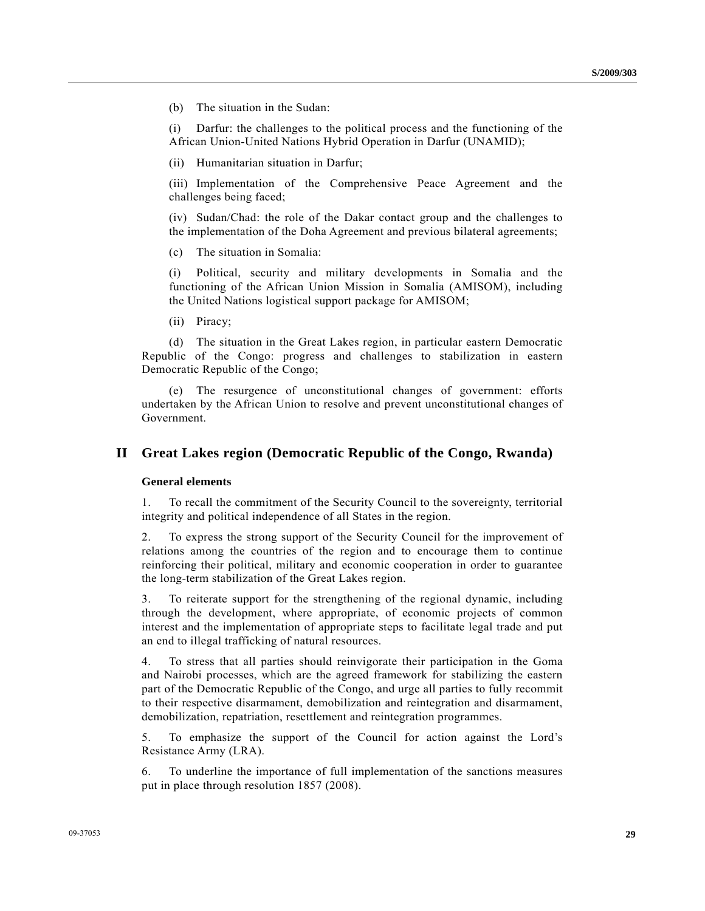(b) The situation in the Sudan:

 (i) Darfur: the challenges to the political process and the functioning of the African Union-United Nations Hybrid Operation in Darfur (UNAMID);

(ii) Humanitarian situation in Darfur;

 (iii) Implementation of the Comprehensive Peace Agreement and the challenges being faced;

 (iv) Sudan/Chad: the role of the Dakar contact group and the challenges to the implementation of the Doha Agreement and previous bilateral agreements;

(c) The situation in Somalia:

 (i) Political, security and military developments in Somalia and the functioning of the African Union Mission in Somalia (AMISOM), including the United Nations logistical support package for AMISOM;

(ii) Piracy;

 (d) The situation in the Great Lakes region, in particular eastern Democratic Republic of the Congo: progress and challenges to stabilization in eastern Democratic Republic of the Congo;

 (e) The resurgence of unconstitutional changes of government: efforts undertaken by the African Union to resolve and prevent unconstitutional changes of Government.

### **II Great Lakes region (Democratic Republic of the Congo, Rwanda)**

#### **General elements**

1. To recall the commitment of the Security Council to the sovereignty, territorial integrity and political independence of all States in the region.

2. To express the strong support of the Security Council for the improvement of relations among the countries of the region and to encourage them to continue reinforcing their political, military and economic cooperation in order to guarantee the long-term stabilization of the Great Lakes region.

3. To reiterate support for the strengthening of the regional dynamic, including through the development, where appropriate, of economic projects of common interest and the implementation of appropriate steps to facilitate legal trade and put an end to illegal trafficking of natural resources.

4. To stress that all parties should reinvigorate their participation in the Goma and Nairobi processes, which are the agreed framework for stabilizing the eastern part of the Democratic Republic of the Congo, and urge all parties to fully recommit to their respective disarmament, demobilization and reintegration and disarmament, demobilization, repatriation, resettlement and reintegration programmes.

5. To emphasize the support of the Council for action against the Lord's Resistance Army (LRA).

6. To underline the importance of full implementation of the sanctions measures put in place through resolution 1857 (2008).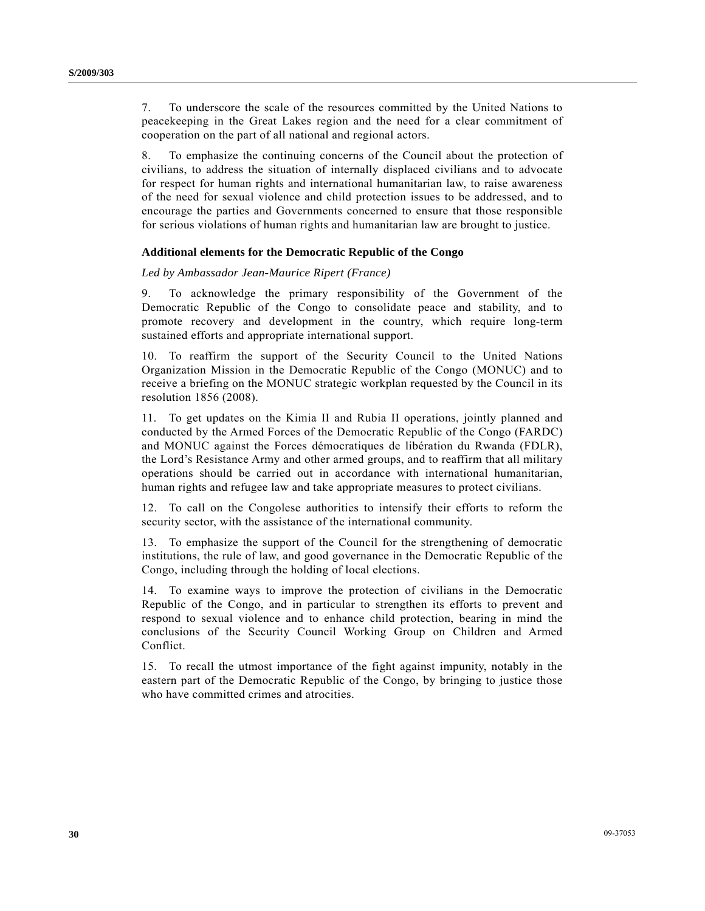7. To underscore the scale of the resources committed by the United Nations to peacekeeping in the Great Lakes region and the need for a clear commitment of cooperation on the part of all national and regional actors.

8. To emphasize the continuing concerns of the Council about the protection of civilians, to address the situation of internally displaced civilians and to advocate for respect for human rights and international humanitarian law, to raise awareness of the need for sexual violence and child protection issues to be addressed, and to encourage the parties and Governments concerned to ensure that those responsible for serious violations of human rights and humanitarian law are brought to justice.

### **Additional elements for the Democratic Republic of the Congo**

#### *Led by Ambassador Jean-Maurice Ripert (France)*

9. To acknowledge the primary responsibility of the Government of the Democratic Republic of the Congo to consolidate peace and stability, and to promote recovery and development in the country, which require long-term sustained efforts and appropriate international support.

10. To reaffirm the support of the Security Council to the United Nations Organization Mission in the Democratic Republic of the Congo (MONUC) and to receive a briefing on the MONUC strategic workplan requested by the Council in its resolution 1856 (2008).

11. To get updates on the Kimia II and Rubia II operations, jointly planned and conducted by the Armed Forces of the Democratic Republic of the Congo (FARDC) and MONUC against the Forces démocratiques de libération du Rwanda (FDLR), the Lord's Resistance Army and other armed groups, and to reaffirm that all military operations should be carried out in accordance with international humanitarian, human rights and refugee law and take appropriate measures to protect civilians.

12. To call on the Congolese authorities to intensify their efforts to reform the security sector, with the assistance of the international community.

13. To emphasize the support of the Council for the strengthening of democratic institutions, the rule of law, and good governance in the Democratic Republic of the Congo, including through the holding of local elections.

14. To examine ways to improve the protection of civilians in the Democratic Republic of the Congo, and in particular to strengthen its efforts to prevent and respond to sexual violence and to enhance child protection, bearing in mind the conclusions of the Security Council Working Group on Children and Armed Conflict.

15. To recall the utmost importance of the fight against impunity, notably in the eastern part of the Democratic Republic of the Congo, by bringing to justice those who have committed crimes and atrocities.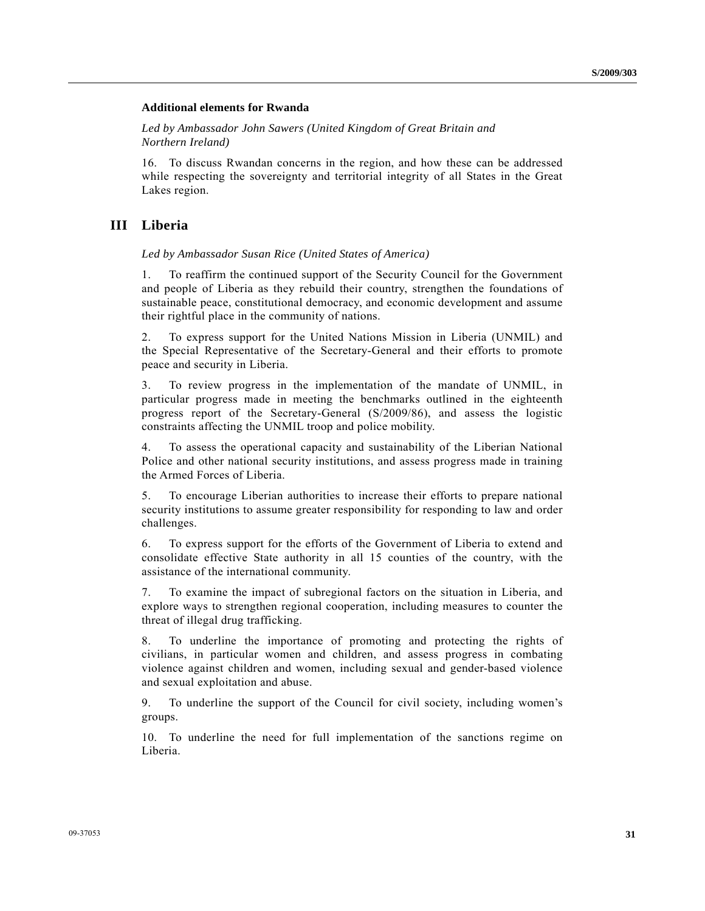### **Additional elements for Rwanda**

 *Led by Ambassador John Sawers (United Kingdom of Great Britain and Northern Ireland)* 

16. To discuss Rwandan concerns in the region, and how these can be addressed while respecting the sovereignty and territorial integrity of all States in the Great Lakes region.

## **III Liberia**

 *Led by Ambassador Susan Rice (United States of America)* 

1. To reaffirm the continued support of the Security Council for the Government and people of Liberia as they rebuild their country, strengthen the foundations of sustainable peace, constitutional democracy, and economic development and assume their rightful place in the community of nations.

2. To express support for the United Nations Mission in Liberia (UNMIL) and the Special Representative of the Secretary-General and their efforts to promote peace and security in Liberia.

3. To review progress in the implementation of the mandate of UNMIL, in particular progress made in meeting the benchmarks outlined in the eighteenth progress report of the Secretary-General (S/2009/86), and assess the logistic constraints affecting the UNMIL troop and police mobility.

4. To assess the operational capacity and sustainability of the Liberian National Police and other national security institutions, and assess progress made in training the Armed Forces of Liberia.

5. To encourage Liberian authorities to increase their efforts to prepare national security institutions to assume greater responsibility for responding to law and order challenges.

6. To express support for the efforts of the Government of Liberia to extend and consolidate effective State authority in all 15 counties of the country, with the assistance of the international community.

7. To examine the impact of subregional factors on the situation in Liberia, and explore ways to strengthen regional cooperation, including measures to counter the threat of illegal drug trafficking.

8. To underline the importance of promoting and protecting the rights of civilians, in particular women and children, and assess progress in combating violence against children and women, including sexual and gender-based violence and sexual exploitation and abuse.

9. To underline the support of the Council for civil society, including women's groups.

10. To underline the need for full implementation of the sanctions regime on Liberia.